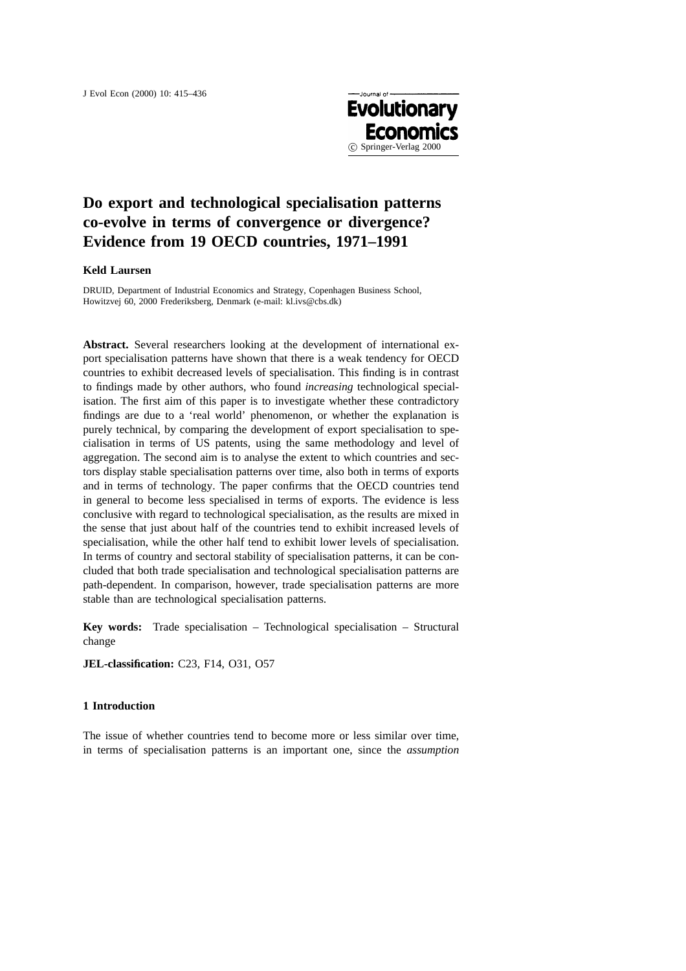

# **Do export and technological specialisation patterns co-evolve in terms of convergence or divergence? Evidence from 19 OECD countries, 1971–1991**

# **Keld Laursen**

DRUID, Department of Industrial Economics and Strategy, Copenhagen Business School, Howitzvej 60, 2000 Frederiksberg, Denmark (e-mail: kl.ivs@cbs.dk)

**Abstract.** Several researchers looking at the development of international export specialisation patterns have shown that there is a weak tendency for OECD countries to exhibit decreased levels of specialisation. This finding is in contrast to findings made by other authors, who found *increasing* technological specialisation. The first aim of this paper is to investigate whether these contradictory findings are due to a 'real world' phenomenon, or whether the explanation is purely technical, by comparing the development of export specialisation to specialisation in terms of US patents, using the same methodology and level of aggregation. The second aim is to analyse the extent to which countries and sectors display stable specialisation patterns over time, also both in terms of exports and in terms of technology. The paper confirms that the OECD countries tend in general to become less specialised in terms of exports. The evidence is less conclusive with regard to technological specialisation, as the results are mixed in the sense that just about half of the countries tend to exhibit increased levels of specialisation, while the other half tend to exhibit lower levels of specialisation. In terms of country and sectoral stability of specialisation patterns, it can be concluded that both trade specialisation and technological specialisation patterns are path-dependent. In comparison, however, trade specialisation patterns are more stable than are technological specialisation patterns.

**Key words:** Trade specialisation – Technological specialisation – Structural change

**JEL-classification:** C23, F14, O31, O57

# **1 Introduction**

The issue of whether countries tend to become more or less similar over time, in terms of specialisation patterns is an important one, since the *assumption*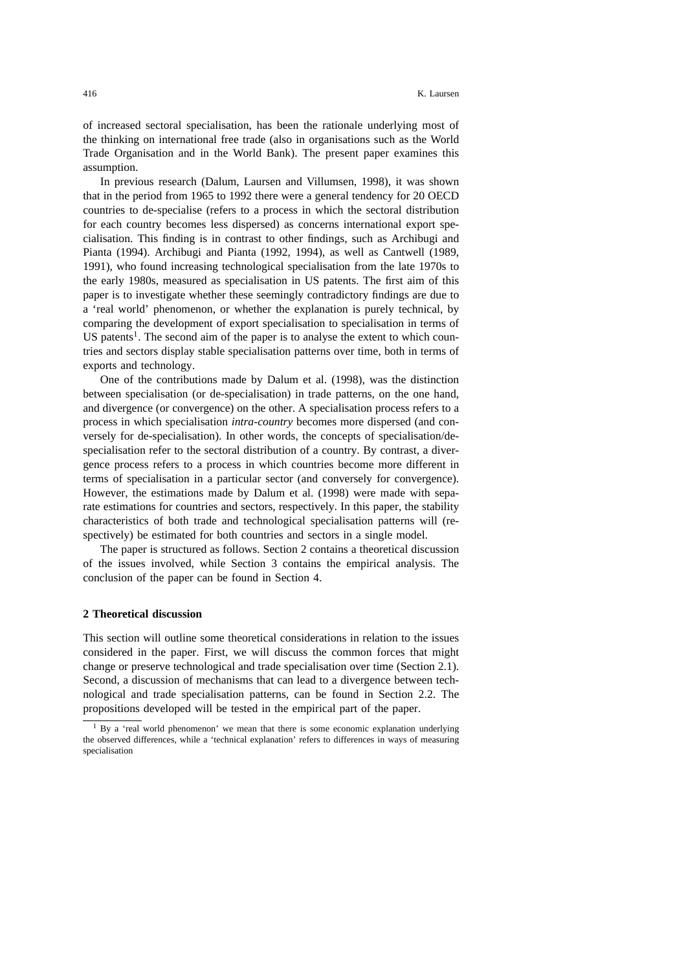of increased sectoral specialisation, has been the rationale underlying most of the thinking on international free trade (also in organisations such as the World Trade Organisation and in the World Bank). The present paper examines this assumption.

In previous research (Dalum, Laursen and Villumsen, 1998), it was shown that in the period from 1965 to 1992 there were a general tendency for 20 OECD countries to de-specialise (refers to a process in which the sectoral distribution for each country becomes less dispersed) as concerns international export specialisation. This finding is in contrast to other findings, such as Archibugi and Pianta (1994). Archibugi and Pianta (1992, 1994), as well as Cantwell (1989, 1991), who found increasing technological specialisation from the late 1970s to the early 1980s, measured as specialisation in US patents. The first aim of this paper is to investigate whether these seemingly contradictory findings are due to a 'real world' phenomenon, or whether the explanation is purely technical, by comparing the development of export specialisation to specialisation in terms of US patents<sup>1</sup>. The second aim of the paper is to analyse the extent to which countries and sectors display stable specialisation patterns over time, both in terms of exports and technology.

One of the contributions made by Dalum et al. (1998), was the distinction between specialisation (or de-specialisation) in trade patterns, on the one hand, and divergence (or convergence) on the other. A specialisation process refers to a process in which specialisation *intra-country* becomes more dispersed (and conversely for de-specialisation). In other words, the concepts of specialisation/despecialisation refer to the sectoral distribution of a country. By contrast, a divergence process refers to a process in which countries become more different in terms of specialisation in a particular sector (and conversely for convergence). However, the estimations made by Dalum et al. (1998) were made with separate estimations for countries and sectors, respectively. In this paper, the stability characteristics of both trade and technological specialisation patterns will (respectively) be estimated for both countries and sectors in a single model.

The paper is structured as follows. Section 2 contains a theoretical discussion of the issues involved, while Section 3 contains the empirical analysis. The conclusion of the paper can be found in Section 4.

#### **2 Theoretical discussion**

This section will outline some theoretical considerations in relation to the issues considered in the paper. First, we will discuss the common forces that might change or preserve technological and trade specialisation over time (Section 2.1). Second, a discussion of mechanisms that can lead to a divergence between technological and trade specialisation patterns, can be found in Section 2.2. The propositions developed will be tested in the empirical part of the paper.

<sup>&</sup>lt;sup>1</sup> By a 'real world phenomenon' we mean that there is some economic explanation underlying the observed differences, while a 'technical explanation' refers to differences in ways of measuring specialisation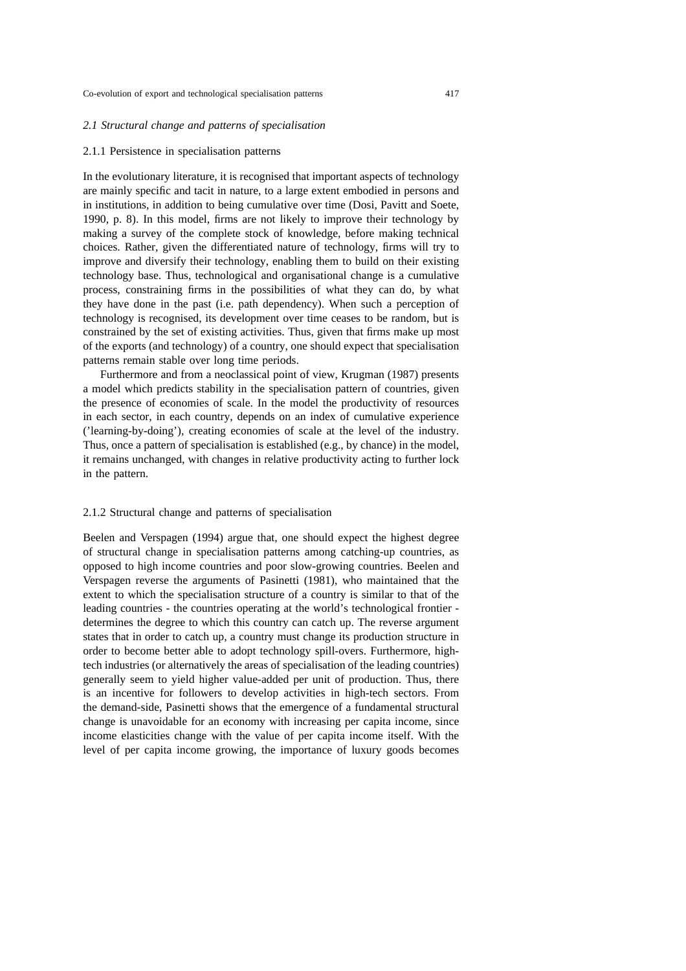## *2.1 Structural change and patterns of specialisation*

# 2.1.1 Persistence in specialisation patterns

In the evolutionary literature, it is recognised that important aspects of technology are mainly specific and tacit in nature, to a large extent embodied in persons and in institutions, in addition to being cumulative over time (Dosi, Pavitt and Soete, 1990, p. 8). In this model, firms are not likely to improve their technology by making a survey of the complete stock of knowledge, before making technical choices. Rather, given the differentiated nature of technology, firms will try to improve and diversify their technology, enabling them to build on their existing technology base. Thus, technological and organisational change is a cumulative process, constraining firms in the possibilities of what they can do, by what they have done in the past (i.e. path dependency). When such a perception of technology is recognised, its development over time ceases to be random, but is constrained by the set of existing activities. Thus, given that firms make up most of the exports (and technology) of a country, one should expect that specialisation patterns remain stable over long time periods.

Furthermore and from a neoclassical point of view, Krugman (1987) presents a model which predicts stability in the specialisation pattern of countries, given the presence of economies of scale. In the model the productivity of resources in each sector, in each country, depends on an index of cumulative experience ('learning-by-doing'), creating economies of scale at the level of the industry. Thus, once a pattern of specialisation is established (e.g., by chance) in the model, it remains unchanged, with changes in relative productivity acting to further lock in the pattern.

#### 2.1.2 Structural change and patterns of specialisation

Beelen and Verspagen (1994) argue that, one should expect the highest degree of structural change in specialisation patterns among catching-up countries, as opposed to high income countries and poor slow-growing countries. Beelen and Verspagen reverse the arguments of Pasinetti (1981), who maintained that the extent to which the specialisation structure of a country is similar to that of the leading countries - the countries operating at the world's technological frontier determines the degree to which this country can catch up. The reverse argument states that in order to catch up, a country must change its production structure in order to become better able to adopt technology spill-overs. Furthermore, hightech industries (or alternatively the areas of specialisation of the leading countries) generally seem to yield higher value-added per unit of production. Thus, there is an incentive for followers to develop activities in high-tech sectors. From the demand-side, Pasinetti shows that the emergence of a fundamental structural change is unavoidable for an economy with increasing per capita income, since income elasticities change with the value of per capita income itself. With the level of per capita income growing, the importance of luxury goods becomes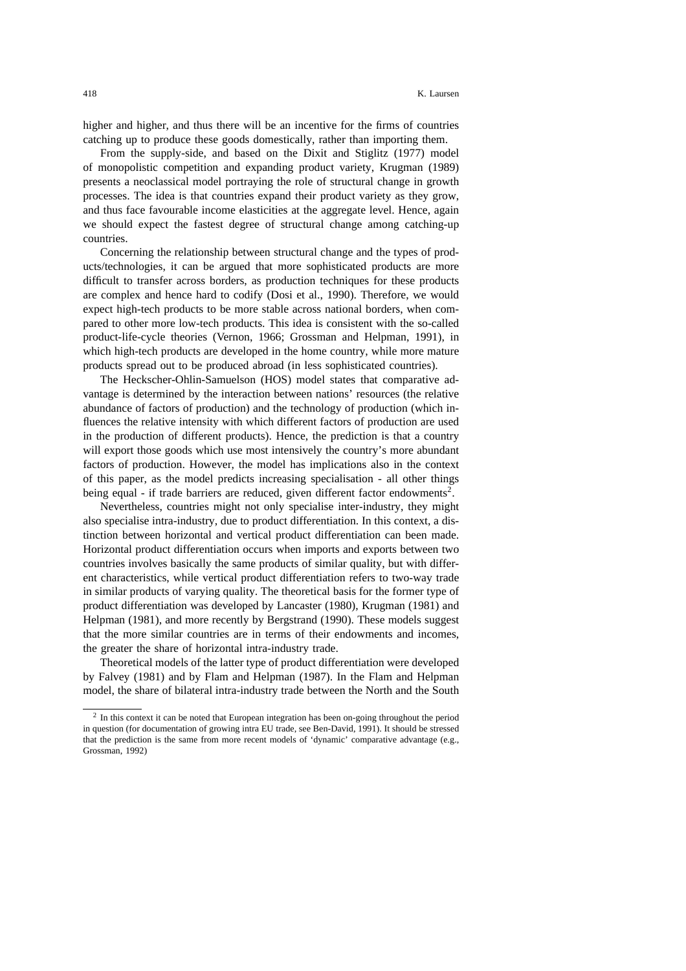higher and higher, and thus there will be an incentive for the firms of countries catching up to produce these goods domestically, rather than importing them.

From the supply-side, and based on the Dixit and Stiglitz (1977) model of monopolistic competition and expanding product variety, Krugman (1989) presents a neoclassical model portraying the role of structural change in growth processes. The idea is that countries expand their product variety as they grow, and thus face favourable income elasticities at the aggregate level. Hence, again we should expect the fastest degree of structural change among catching-up countries.

Concerning the relationship between structural change and the types of products/technologies, it can be argued that more sophisticated products are more difficult to transfer across borders, as production techniques for these products are complex and hence hard to codify (Dosi et al., 1990). Therefore, we would expect high-tech products to be more stable across national borders, when compared to other more low-tech products. This idea is consistent with the so-called product-life-cycle theories (Vernon, 1966; Grossman and Helpman, 1991), in which high-tech products are developed in the home country, while more mature products spread out to be produced abroad (in less sophisticated countries).

The Heckscher-Ohlin-Samuelson (HOS) model states that comparative advantage is determined by the interaction between nations' resources (the relative abundance of factors of production) and the technology of production (which influences the relative intensity with which different factors of production are used in the production of different products). Hence, the prediction is that a country will export those goods which use most intensively the country's more abundant factors of production. However, the model has implications also in the context of this paper, as the model predicts increasing specialisation - all other things being equal - if trade barriers are reduced, given different factor endowments<sup>2</sup>.

Nevertheless, countries might not only specialise inter-industry, they might also specialise intra-industry, due to product differentiation. In this context, a distinction between horizontal and vertical product differentiation can been made. Horizontal product differentiation occurs when imports and exports between two countries involves basically the same products of similar quality, but with different characteristics, while vertical product differentiation refers to two-way trade in similar products of varying quality. The theoretical basis for the former type of product differentiation was developed by Lancaster (1980), Krugman (1981) and Helpman (1981), and more recently by Bergstrand (1990). These models suggest that the more similar countries are in terms of their endowments and incomes, the greater the share of horizontal intra-industry trade.

Theoretical models of the latter type of product differentiation were developed by Falvey (1981) and by Flam and Helpman (1987). In the Flam and Helpman model, the share of bilateral intra-industry trade between the North and the South

<sup>&</sup>lt;sup>2</sup> In this context it can be noted that European integration has been on-going throughout the period in question (for documentation of growing intra EU trade, see Ben-David, 1991). It should be stressed that the prediction is the same from more recent models of 'dynamic' comparative advantage (e.g., Grossman, 1992)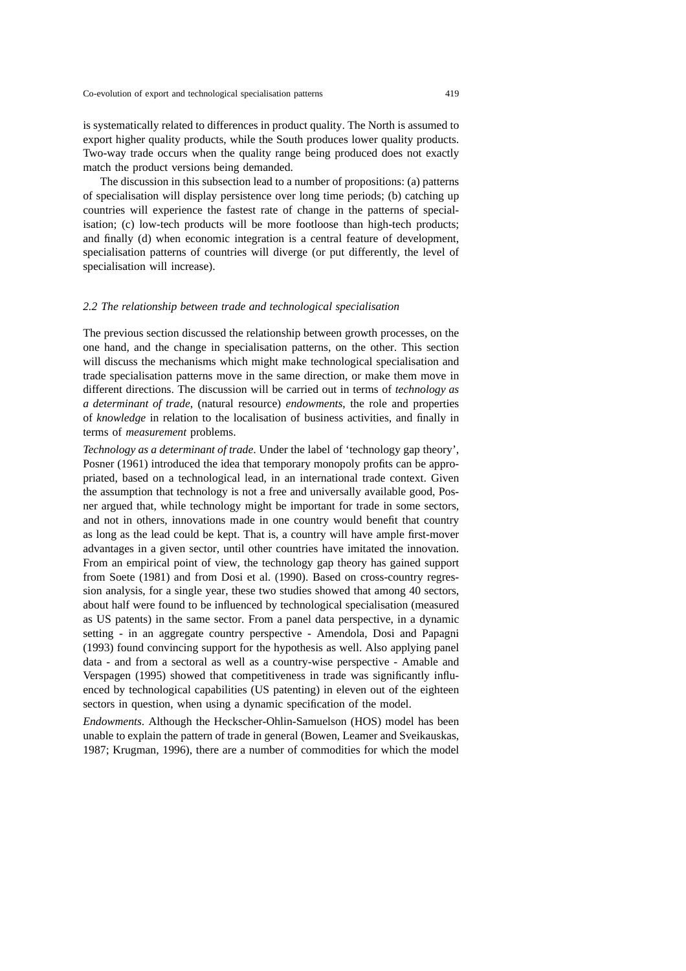is systematically related to differences in product quality. The North is assumed to export higher quality products, while the South produces lower quality products. Two-way trade occurs when the quality range being produced does not exactly match the product versions being demanded.

The discussion in this subsection lead to a number of propositions: (a) patterns of specialisation will display persistence over long time periods; (b) catching up countries will experience the fastest rate of change in the patterns of specialisation; (c) low-tech products will be more footloose than high-tech products; and finally (d) when economic integration is a central feature of development, specialisation patterns of countries will diverge (or put differently, the level of specialisation will increase).

#### *2.2 The relationship between trade and technological specialisation*

The previous section discussed the relationship between growth processes, on the one hand, and the change in specialisation patterns, on the other. This section will discuss the mechanisms which might make technological specialisation and trade specialisation patterns move in the same direction, or make them move in different directions. The discussion will be carried out in terms of *technology as a determinant of trade*, (natural resource) *endowments*, the role and properties of *knowledge* in relation to the localisation of business activities, and finally in terms of *measurement* problems.

*Technology as a determinant of trade*. Under the label of 'technology gap theory', Posner (1961) introduced the idea that temporary monopoly profits can be appropriated, based on a technological lead, in an international trade context. Given the assumption that technology is not a free and universally available good, Posner argued that, while technology might be important for trade in some sectors, and not in others, innovations made in one country would benefit that country as long as the lead could be kept. That is, a country will have ample first-mover advantages in a given sector, until other countries have imitated the innovation. From an empirical point of view, the technology gap theory has gained support from Soete (1981) and from Dosi et al. (1990). Based on cross-country regression analysis, for a single year, these two studies showed that among 40 sectors, about half were found to be influenced by technological specialisation (measured as US patents) in the same sector. From a panel data perspective, in a dynamic setting - in an aggregate country perspective - Amendola, Dosi and Papagni (1993) found convincing support for the hypothesis as well. Also applying panel data - and from a sectoral as well as a country-wise perspective - Amable and Verspagen (1995) showed that competitiveness in trade was significantly influenced by technological capabilities (US patenting) in eleven out of the eighteen sectors in question, when using a dynamic specification of the model.

*Endowments*. Although the Heckscher-Ohlin-Samuelson (HOS) model has been unable to explain the pattern of trade in general (Bowen, Leamer and Sveikauskas, 1987; Krugman, 1996), there are a number of commodities for which the model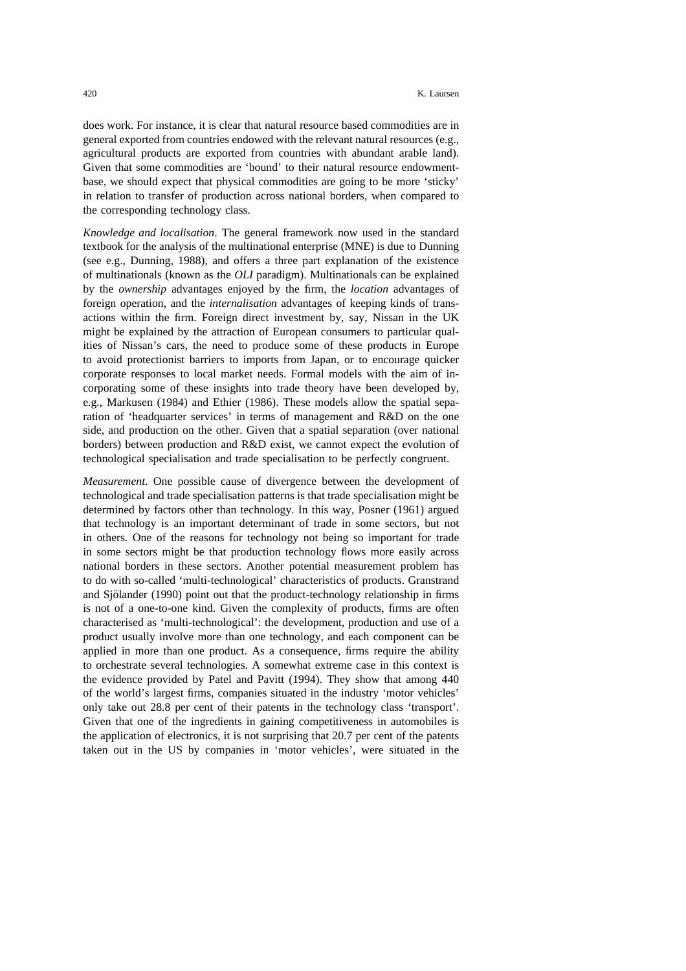does work. For instance, it is clear that natural resource based commodities are in general exported from countries endowed with the relevant natural resources (e.g., agricultural products are exported from countries with abundant arable land). Given that some commodities are 'bound' to their natural resource endowmentbase, we should expect that physical commodities are going to be more 'sticky' in relation to transfer of production across national borders, when compared to the corresponding technology class.

*Knowledge and localisation*. The general framework now used in the standard textbook for the analysis of the multinational enterprise (MNE) is due to Dunning (see e.g., Dunning, 1988), and offers a three part explanation of the existence of multinationals (known as the *OLI* paradigm). Multinationals can be explained by the *ownership* advantages enjoyed by the firm, the *location* advantages of foreign operation, and the *internalisation* advantages of keeping kinds of transactions within the firm. Foreign direct investment by, say, Nissan in the UK might be explained by the attraction of European consumers to particular qualities of Nissan's cars, the need to produce some of these products in Europe to avoid protectionist barriers to imports from Japan, or to encourage quicker corporate responses to local market needs. Formal models with the aim of incorporating some of these insights into trade theory have been developed by, e.g., Markusen (1984) and Ethier (1986). These models allow the spatial separation of 'headquarter services' in terms of management and R&D on the one side, and production on the other. Given that a spatial separation (over national borders) between production and R&D exist, we cannot expect the evolution of technological specialisation and trade specialisation to be perfectly congruent.

*Measurement*. One possible cause of divergence between the development of technological and trade specialisation patterns is that trade specialisation might be determined by factors other than technology. In this way, Posner (1961) argued that technology is an important determinant of trade in some sectors, but not in others. One of the reasons for technology not being so important for trade in some sectors might be that production technology flows more easily across national borders in these sectors. Another potential measurement problem has to do with so-called 'multi-technological' characteristics of products. Granstrand and Sjölander (1990) point out that the product-technology relationship in firms is not of a one-to-one kind. Given the complexity of products, firms are often characterised as 'multi-technological': the development, production and use of a product usually involve more than one technology, and each component can be applied in more than one product. As a consequence, firms require the ability to orchestrate several technologies. A somewhat extreme case in this context is the evidence provided by Patel and Pavitt (1994). They show that among 440 of the world's largest firms, companies situated in the industry 'motor vehicles' only take out 28.8 per cent of their patents in the technology class 'transport'. Given that one of the ingredients in gaining competitiveness in automobiles is the application of electronics, it is not surprising that 20.7 per cent of the patents taken out in the US by companies in 'motor vehicles', were situated in the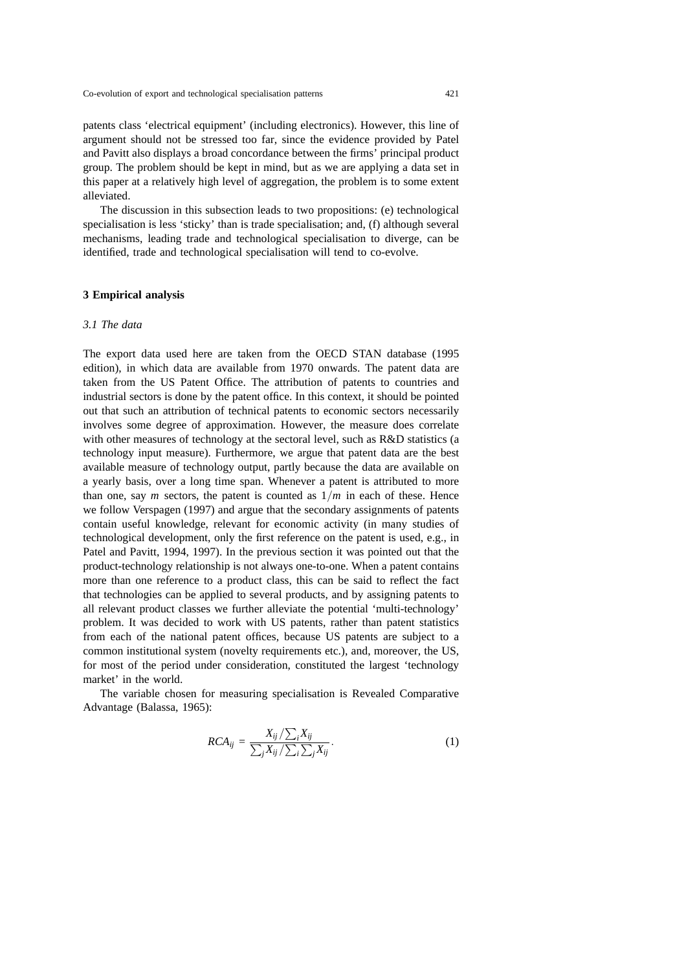patents class 'electrical equipment' (including electronics). However, this line of argument should not be stressed too far, since the evidence provided by Patel and Pavitt also displays a broad concordance between the firms' principal product group. The problem should be kept in mind, but as we are applying a data set in this paper at a relatively high level of aggregation, the problem is to some extent alleviated.

The discussion in this subsection leads to two propositions: (e) technological specialisation is less 'sticky' than is trade specialisation; and, (f) although several mechanisms, leading trade and technological specialisation to diverge, can be identified, trade and technological specialisation will tend to co-evolve.

## **3 Empirical analysis**

#### *3.1 The data*

The export data used here are taken from the OECD STAN database (1995 edition), in which data are available from 1970 onwards. The patent data are taken from the US Patent Office. The attribution of patents to countries and industrial sectors is done by the patent office. In this context, it should be pointed out that such an attribution of technical patents to economic sectors necessarily involves some degree of approximation. However, the measure does correlate with other measures of technology at the sectoral level, such as R&D statistics (a technology input measure). Furthermore, we argue that patent data are the best available measure of technology output, partly because the data are available on a yearly basis, over a long time span. Whenever a patent is attributed to more than one, say *m* sectors, the patent is counted as  $1/m$  in each of these. Hence we follow Verspagen (1997) and argue that the secondary assignments of patents contain useful knowledge, relevant for economic activity (in many studies of technological development, only the first reference on the patent is used, e.g., in Patel and Pavitt, 1994, 1997). In the previous section it was pointed out that the product-technology relationship is not always one-to-one. When a patent contains more than one reference to a product class, this can be said to reflect the fact that technologies can be applied to several products, and by assigning patents to all relevant product classes we further alleviate the potential 'multi-technology' problem. It was decided to work with US patents, rather than patent statistics from each of the national patent offices, because US patents are subject to a common institutional system (novelty requirements etc.), and, moreover, the US, for most of the period under consideration, constituted the largest 'technology market' in the world.

The variable chosen for measuring specialisation is Revealed Comparative Advantage (Balassa, 1965):

$$
RCA_{ij} = \frac{X_{ij}/\sum_{i}X_{ij}}{\sum_{j}X_{ij}/\sum_{i}\sum_{j}X_{ij}}.
$$
 (1)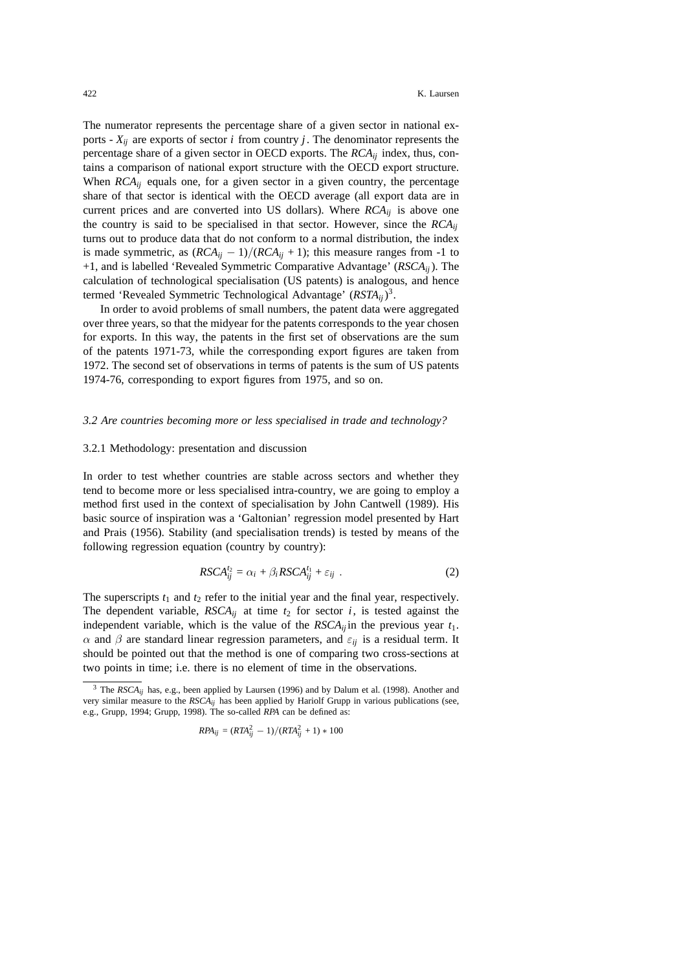The numerator represents the percentage share of a given sector in national exports -  $X_{ij}$  are exports of sector *i* from country *j*. The denominator represents the percentage share of a given sector in OECD exports. The *RCAij* index, thus, contains a comparison of national export structure with the OECD export structure. When  $RCA_{ii}$  equals one, for a given sector in a given country, the percentage share of that sector is identical with the OECD average (all export data are in current prices and are converted into US dollars). Where  $RCA_{ii}$  is above one the country is said to be specialised in that sector. However, since the  $RCA_{ii}$ turns out to produce data that do not conform to a normal distribution, the index is made symmetric, as  $(RCA_{ii} - 1)/(RCA_{ii} + 1)$ ; this measure ranges from -1 to  $+1$ , and is labelled 'Revealed Symmetric Comparative Advantage' ( $RSCA<sub>ij</sub>$ ). The calculation of technological specialisation (US patents) is analogous, and hence termed 'Revealed Symmetric Technological Advantage' (*RSTAij*) 3.

In order to avoid problems of small numbers, the patent data were aggregated over three years, so that the midyear for the patents corresponds to the year chosen for exports. In this way, the patents in the first set of observations are the sum of the patents 1971-73, while the corresponding export figures are taken from 1972. The second set of observations in terms of patents is the sum of US patents 1974-76, corresponding to export figures from 1975, and so on.

#### *3.2 Are countries becoming more or less specialised in trade and technology?*

#### 3.2.1 Methodology: presentation and discussion

In order to test whether countries are stable across sectors and whether they tend to become more or less specialised intra-country, we are going to employ a method first used in the context of specialisation by John Cantwell (1989). His basic source of inspiration was a 'Galtonian' regression model presented by Hart and Prais (1956). Stability (and specialisation trends) is tested by means of the following regression equation (country by country):

$$
RSCA_{ij}^{t_2} = \alpha_i + \beta_i RSCA_{ij}^{t_1} + \varepsilon_{ij} \tag{2}
$$

The superscripts  $t_1$  and  $t_2$  refer to the initial year and the final year, respectively. The dependent variable,  $RSCA_{ij}$  at time  $t_2$  for sector *i*, is tested against the independent variable, which is the value of the  $RSCA_{ij}$  in the previous year  $t_1$ .  $\alpha$  and  $\beta$  are standard linear regression parameters, and  $\varepsilon_{ij}$  is a residual term. It should be pointed out that the method is one of comparing two cross-sections at two points in time; i.e. there is no element of time in the observations.

$$
RPA_{ij} = (RTA_{ij}^2 - 1)/(RTA_{ij}^2 + 1) * 100
$$

<sup>&</sup>lt;sup>3</sup> The *RSCA<sub>ij</sub>* has, e.g., been applied by Laursen (1996) and by Dalum et al. (1998). Another and very similar measure to the *RSCAij* has been applied by Hariolf Grupp in various publications (see, e.g., Grupp, 1994; Grupp, 1998). The so-called *RPA* can be defined as: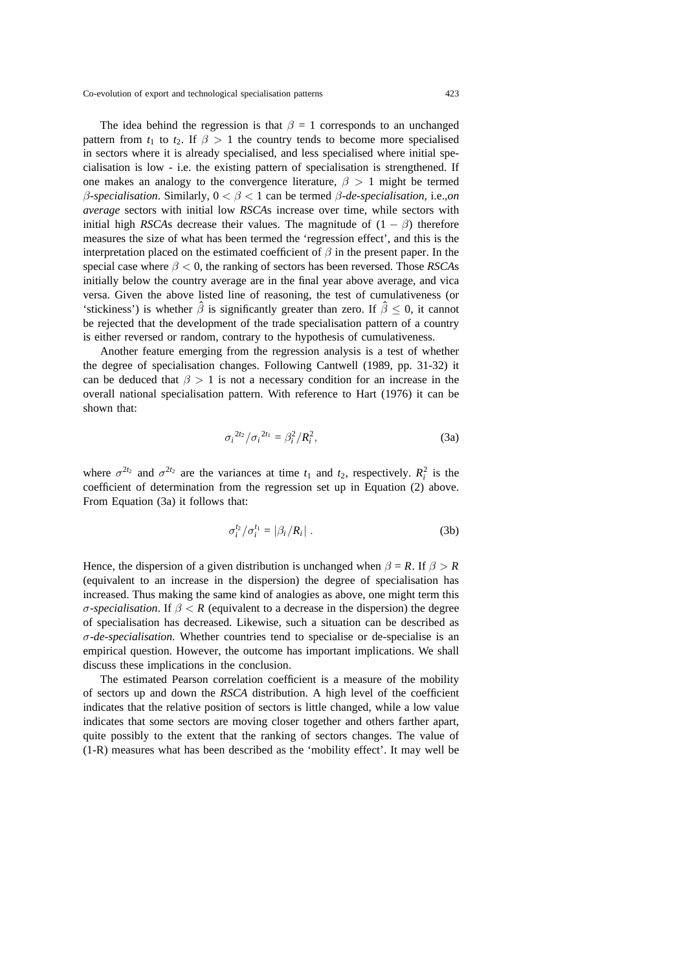The idea behind the regression is that  $\beta = 1$  corresponds to an unchanged pattern from  $t_1$  to  $t_2$ . If  $\beta > 1$  the country tends to become more specialised in sectors where it is already specialised, and less specialised where initial specialisation is low - i.e. the existing pattern of specialisation is strengthened. If one makes an analogy to the convergence literature,  $\beta > 1$  might be termed β-*specialisation*. Similarly, 0 <β< 1 can be termed β-*de-specialisation,* i.e.,*on average* sectors with initial low *RSCA*s increase over time, while sectors with initial high *RSCA*s decrease their values. The magnitude of  $(1 - \beta)$  therefore measures the size of what has been termed the 'regression effect', and this is the interpretation placed on the estimated coefficient of  $\beta$  in the present paper. In the special case where  $\beta$  < 0, the ranking of sectors has been reversed. Those *RSCAs* initially below the country average are in the final year above average, and vica versa. Given the above listed line of reasoning, the test of cumulativeness (or 'stickiness') is whether  $\hat{\beta}$  is significantly greater than zero. If  $\hat{\beta}$  < 0, it cannot be rejected that the development of the trade specialisation pattern of a country is either reversed or random, contrary to the hypothesis of cumulativeness.

Another feature emerging from the regression analysis is a test of whether the degree of specialisation changes. Following Cantwell (1989, pp. 31-32) it can be deduced that  $\beta > 1$  is not a necessary condition for an increase in the overall national specialisation pattern. With reference to Hart (1976) it can be shown that:

$$
\sigma_i^{2t_2}/\sigma_i^{2t_1} = \beta_i^2/R_i^2,
$$
\n(3a)

where  $\sigma^{2t_2}$  and  $\sigma^{2t_2}$  are the variances at time  $t_1$  and  $t_2$ , respectively.  $R_i^2$  is the coefficient of determination from the regression set up in Equation (2) above. From Equation (3a) it follows that:

$$
\sigma_i^{t_2}/\sigma_i^{t_1} = |\beta_i/R_i| \tag{3b}
$$

Hence, the dispersion of a given distribution is unchanged when  $\beta = R$ . If  $\beta > R$ (equivalent to an increase in the dispersion) the degree of specialisation has increased. Thus making the same kind of analogies as above, one might term this σ-*specialisation*. If β < *R* (equivalent to a decrease in the dispersion) the degree of specialisation has decreased. Likewise, such a situation can be described as σ-*de*-*specialisation*. Whether countries tend to specialise or de-specialise is an empirical question. However, the outcome has important implications. We shall discuss these implications in the conclusion.

The estimated Pearson correlation coefficient is a measure of the mobility of sectors up and down the *RSCA* distribution. A high level of the coefficient indicates that the relative position of sectors is little changed, while a low value indicates that some sectors are moving closer together and others farther apart, quite possibly to the extent that the ranking of sectors changes. The value of (1-R) measures what has been described as the 'mobility effect'. It may well be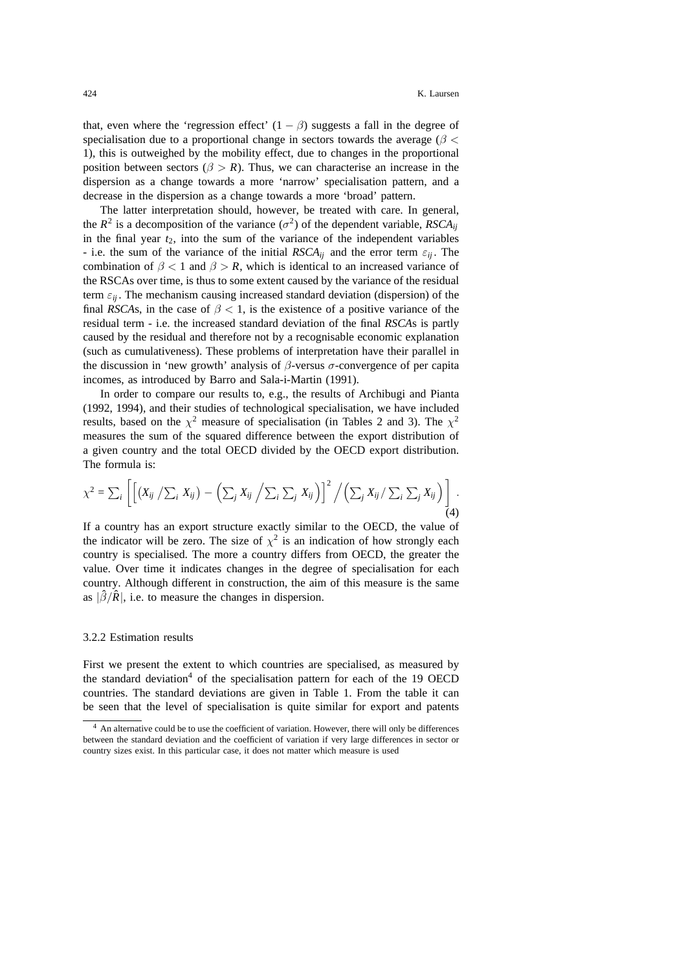that, even where the 'regression effect'  $(1 - \beta)$  suggests a fall in the degree of specialisation due to a proportional change in sectors towards the average ( $\beta$  < 1), this is outweighed by the mobility effect, due to changes in the proportional position between sectors ( $\beta > R$ ). Thus, we can characterise an increase in the dispersion as a change towards a more 'narrow' specialisation pattern, and a decrease in the dispersion as a change towards a more 'broad' pattern.

The latter interpretation should, however, be treated with care. In general, the  $R^2$  is a decomposition of the variance  $(\sigma^2)$  of the dependent variable, *RSCA*<sub>*ii*</sub> in the final year  $t_2$ , into the sum of the variance of the independent variables - i.e. the sum of the variance of the initial  $RSCA_{ii}$  and the error term  $\varepsilon_{ii}$ . The combination of  $\beta < 1$  and  $\beta > R$ , which is identical to an increased variance of the RSCAs over time, is thus to some extent caused by the variance of the residual term  $\varepsilon_{ii}$ . The mechanism causing increased standard deviation (dispersion) of the final *RSCA*s, in the case of  $\beta$  < 1, is the existence of a positive variance of the residual term - i.e. the increased standard deviation of the final *RSCA*s is partly caused by the residual and therefore not by a recognisable economic explanation (such as cumulativeness). These problems of interpretation have their parallel in the discussion in 'new growth' analysis of  $\beta$ -versus  $\sigma$ -convergence of per capita incomes, as introduced by Barro and Sala-i-Martin (1991).

In order to compare our results to, e.g., the results of Archibugi and Pianta (1992, 1994), and their studies of technological specialisation, we have included results, based on the  $\chi^2$  measure of specialisation (in Tables 2 and 3). The  $\chi^2$ measures the sum of the squared difference between the export distribution of a given country and the total OECD divided by the OECD export distribution. The formula is:

$$
\chi^2 = \sum_i \left[ \left[ \left( X_{ij} / \sum_i X_{ij} \right) - \left( \sum_j X_{ij} / \sum_i \sum_j X_{ij} \right) \right]^2 / \left( \sum_j X_{ij} / \sum_i \sum_j X_{ij} \right) \right].
$$
\n(4)

If a country has an export structure exactly similar to the OECD, the value of the indicator will be zero. The size of  $\chi^2$  is an indication of how strongly each country is specialised. The more a country differs from OECD, the greater the value. Over time it indicates changes in the degree of specialisation for each country. Although different in construction, the aim of this measure is the same as  $|\hat{\beta}/\hat{R}|$ , i.e. to measure the changes in dispersion.

#### 3.2.2 Estimation results

First we present the extent to which countries are specialised, as measured by the standard deviation<sup>4</sup> of the specialisation pattern for each of the 19 OECD countries. The standard deviations are given in Table 1. From the table it can be seen that the level of specialisation is quite similar for export and patents

<sup>4</sup> An alternative could be to use the coefficient of variation. However, there will only be differences between the standard deviation and the coefficient of variation if very large differences in sector or country sizes exist. In this particular case, it does not matter which measure is used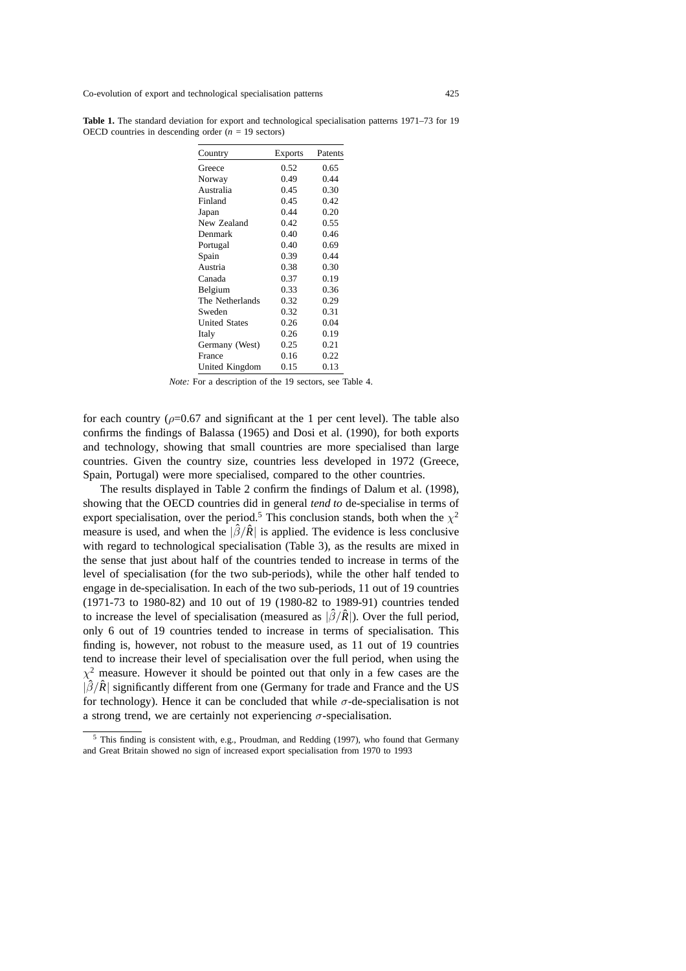Co-evolution of export and technological specialisation patterns 425

| Country              | <b>Exports</b> | Patents |
|----------------------|----------------|---------|
| Greece               | 0.52           | 0.65    |
| Norway               | 0.49           | 0.44    |
| Australia            | 0.45           | 0.30    |
| Finland              | 0.45           | 0.42    |
| Japan                | 0.44           | 0.20    |
| New Zealand          | 0.42           | 0.55    |
| Denmark              | 0.40           | 0.46    |
| Portugal             | 0.40           | 0.69    |
| Spain                | 0.39           | 0.44    |
| Austria              | 0.38           | 0.30    |
| Canada               | 0.37           | 0.19    |
| Belgium              | 0.33           | 0.36    |
| The Netherlands      | 0.32           | 0.29    |
| Sweden               | 0.32           | 0.31    |
| <b>United States</b> | 0.26           | 0.04    |
| Italy                | 0.26           | 0.19    |
| Germany (West)       | 0.25           | 0.21    |
| France               | 0.16           | 0.22    |
| United Kingdom       | 0.15           | 0.13    |

**Table 1.** The standard deviation for export and technological specialisation patterns 1971–73 for 19 OECD countries in descending order  $(n = 19$  sectors)

*Note:* For a description of the 19 sectors, see Table 4.

for each country ( $\rho$ =0.67 and significant at the 1 per cent level). The table also confirms the findings of Balassa (1965) and Dosi et al. (1990), for both exports and technology, showing that small countries are more specialised than large countries. Given the country size, countries less developed in 1972 (Greece, Spain, Portugal) were more specialised, compared to the other countries.

The results displayed in Table 2 confirm the findings of Dalum et al. (1998), showing that the OECD countries did in general *tend to* de-specialise in terms of export specialisation, over the period.<sup>5</sup> This conclusion stands, both when the  $\chi^2$ measure is used, and when the  $|\hat{\beta}/\hat{R}|$  is applied. The evidence is less conclusive with regard to technological specialisation (Table 3), as the results are mixed in the sense that just about half of the countries tended to increase in terms of the level of specialisation (for the two sub-periods), while the other half tended to engage in de-specialisation. In each of the two sub-periods, 11 out of 19 countries (1971-73 to 1980-82) and 10 out of 19 (1980-82 to 1989-91) countries tended to increase the level of specialisation (measured as  $|\hat{\beta}/\hat{R}|$ ). Over the full period, only 6 out of 19 countries tended to increase in terms of specialisation. This finding is, however, not robust to the measure used, as 11 out of 19 countries tend to increase their level of specialisation over the full period, when using the  $\chi^2$  measure. However it should be pointed out that only in a few cases are the  $|\hat{\beta}/\hat{R}|$  significantly different from one (Germany for trade and France and the US for technology). Hence it can be concluded that while  $\sigma$ -de-specialisation is not a strong trend, we are certainly not experiencing  $\sigma$ -specialisation.

<sup>5</sup> This finding is consistent with, e.g., Proudman, and Redding (1997), who found that Germany and Great Britain showed no sign of increased export specialisation from 1970 to 1993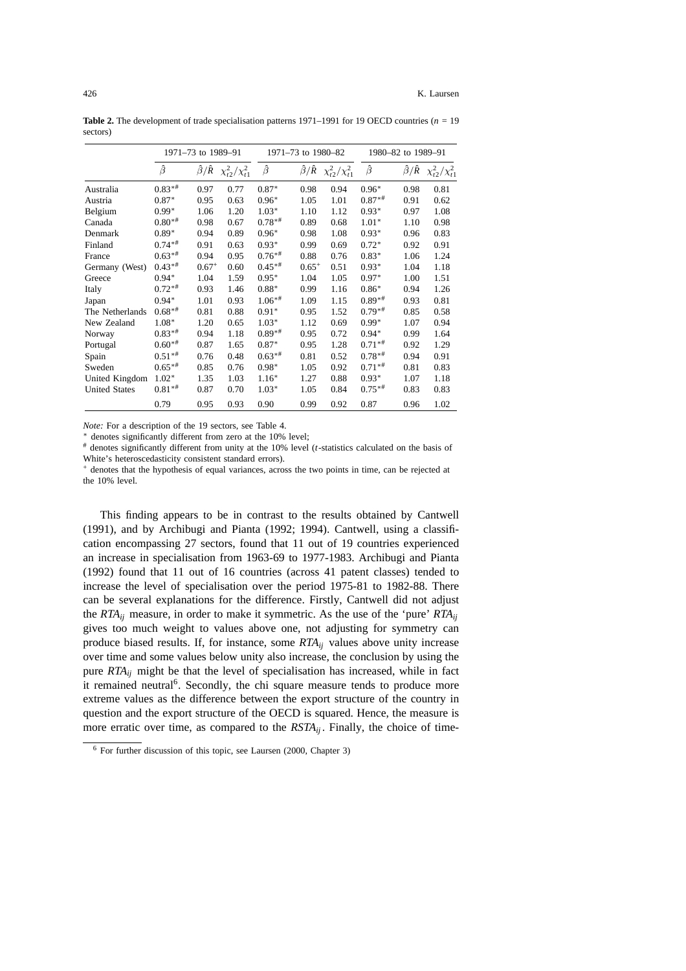|                      | 1971-73 to 1989-91 |                       | 1971-73 to 1980-82        |               |                       | 1980-82 to 1989-91        |               |                       |                           |
|----------------------|--------------------|-----------------------|---------------------------|---------------|-----------------------|---------------------------|---------------|-----------------------|---------------------------|
|                      | Ĝ                  | $\hat{\beta}/\hat{R}$ | $\chi_{t2}^2/\chi_{t1}^2$ | $\hat{\beta}$ | $\hat{\beta}/\hat{R}$ | $\chi_{t2}^2/\chi_{t1}^2$ | $\hat{\beta}$ | $\hat{\beta}/\hat{R}$ | $\chi_{t2}^2/\chi_{t1}^2$ |
| Australia            | $0.83**$           | 0.97                  | 0.77                      | $0.87*$       | 0.98                  | 0.94                      | $0.96*$       | 0.98                  | 0.81                      |
| Austria              | $0.87*$            | 0.95                  | 0.63                      | $0.96*$       | 1.05                  | 1.01                      | $0.87**$      | 0.91                  | 0.62                      |
| Belgium              | $0.99*$            | 1.06                  | 1.20                      | $1.03*$       | 1.10                  | 1.12                      | $0.93*$       | 0.97                  | 1.08                      |
| Canada               | $0.80**$           | 0.98                  | 0.67                      | $0.78**$      | 0.89                  | 0.68                      | $1.01*$       | 1.10                  | 0.98                      |
| Denmark              | $0.89*$            | 0.94                  | 0.89                      | $0.96*$       | 0.98                  | 1.08                      | $0.93*$       | 0.96                  | 0.83                      |
| Finland              | $0.74**$           | 0.91                  | 0.63                      | $0.93*$       | 0.99                  | 0.69                      | $0.72*$       | 0.92                  | 0.91                      |
| France               | $0.63**$           | 0.94                  | 0.95                      | $0.76**$      | 0.88                  | 0.76                      | $0.83*$       | 1.06                  | 1.24                      |
| Germany (West)       | $0.43**$           | $0.67+$               | 0.60                      | $0.45**$      | $0.65+$               | 0.51                      | $0.93*$       | 1.04                  | 1.18                      |
| Greece               | $0.94*$            | 1.04                  | 1.59                      | $0.95*$       | 1.04                  | 1.05                      | $0.97*$       | 1.00                  | 1.51                      |
| Italy                | $0.72**$           | 0.93                  | 1.46                      | $0.88*$       | 0.99                  | 1.16                      | $0.86*$       | 0.94                  | 1.26                      |
| Japan                | $0.94*$            | 1.01                  | 0.93                      | $1.06**$      | 1.09                  | 1.15                      | $0.89**$      | 0.93                  | 0.81                      |
| The Netherlands      | $0.68**$           | 0.81                  | 0.88                      | $0.91*$       | 0.95                  | 1.52                      | $0.79**$      | 0.85                  | 0.58                      |
| New Zealand          | $1.08*$            | 1.20                  | 0.65                      | $1.03*$       | 1.12                  | 0.69                      | $0.99*$       | 1.07                  | 0.94                      |
| Norway               | $0.83**$           | 0.94                  | 1.18                      | $0.89**$      | 0.95                  | 0.72                      | $0.94*$       | 0.99                  | 1.64                      |
| Portugal             | $0.60**$           | 0.87                  | 1.65                      | $0.87*$       | 0.95                  | 1.28                      | $0.71**$      | 0.92                  | 1.29                      |
| Spain                | $0.51**$           | 0.76                  | 0.48                      | $0.63**$      | 0.81                  | 0.52                      | $0.78**$      | 0.94                  | 0.91                      |
| Sweden               | $0.65**$           | 0.85                  | 0.76                      | $0.98*$       | 1.05                  | 0.92                      | $0.71**$      | 0.81                  | 0.83                      |
| United Kingdom       | $1.02*$            | 1.35                  | 1.03                      | $1.16*$       | 1.27                  | 0.88                      | $0.93*$       | 1.07                  | 1.18                      |
| <b>United States</b> | $0.81**$           | 0.87                  | 0.70                      | $1.03*$       | 1.05                  | 0.84                      | $0.75**$      | 0.83                  | 0.83                      |
|                      | 0.79               | 0.95                  | 0.93                      | 0.90          | 0.99                  | 0.92                      | 0.87          | 0.96                  | 1.02                      |

**Table 2.** The development of trade specialisation patterns  $1971-1991$  for 19 OECD countries ( $n = 19$ ) sectors)

*Note:* For a description of the 19 sectors, see Table 4.

∗ denotes significantly different from zero at the 10% level;

# denotes significantly different from unity at the 10% level (*t*-statistics calculated on the basis of White's heteroscedasticity consistent standard errors).

<sup>+</sup> denotes that the hypothesis of equal variances, across the two points in time, can be rejected at the 10% level.

This finding appears to be in contrast to the results obtained by Cantwell (1991), and by Archibugi and Pianta (1992; 1994). Cantwell, using a classification encompassing 27 sectors, found that 11 out of 19 countries experienced an increase in specialisation from 1963-69 to 1977-1983. Archibugi and Pianta (1992) found that 11 out of 16 countries (across 41 patent classes) tended to increase the level of specialisation over the period 1975-81 to 1982-88. There can be several explanations for the difference. Firstly, Cantwell did not adjust the *RTAij* measure, in order to make it symmetric. As the use of the 'pure' *RTAij* gives too much weight to values above one, not adjusting for symmetry can produce biased results. If, for instance, some *RTAij* values above unity increase over time and some values below unity also increase, the conclusion by using the pure *RTA<sub>ij</sub>* might be that the level of specialisation has increased, while in fact it remained neutral<sup>6</sup>. Secondly, the chi square measure tends to produce more extreme values as the difference between the export structure of the country in question and the export structure of the OECD is squared. Hence, the measure is more erratic over time, as compared to the  $RSTA_{ii}$ . Finally, the choice of time-

 $6$  For further discussion of this topic, see Laursen (2000, Chapter 3)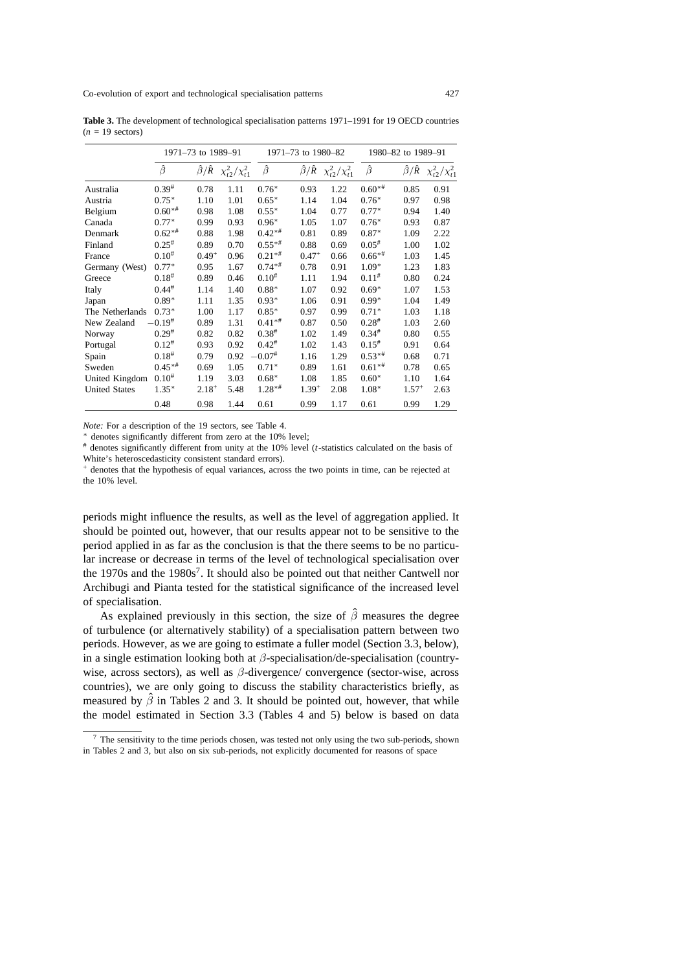Co-evolution of export and technological specialisation patterns 427

|                      | 1971-73 to 1989-91   |                       | 1971-73 to 1980-82        |                      |                       | 1980-82 to 1989-91        |                     |                       |                           |
|----------------------|----------------------|-----------------------|---------------------------|----------------------|-----------------------|---------------------------|---------------------|-----------------------|---------------------------|
|                      | $\hat{\beta}$        | $\hat{\beta}/\hat{R}$ | $\chi_{t2}^2/\chi_{t1}^2$ | $\hat{\beta}$        | $\hat{\beta}/\hat{R}$ | $\chi_{t2}^2/\chi_{t1}^2$ | $\hat{\beta}$       | $\hat{\beta}/\hat{R}$ | $\chi_{t2}^2/\chi_{t1}^2$ |
| Australia            | $0.39^{#}$           | 0.78                  | 1.11                      | $0.76*$              | 0.93                  | 1.22                      | $0.60**$            | 0.85                  | 0.91                      |
| Austria              | $0.75*$              | 1.10                  | 1.01                      | $0.65*$              | 1.14                  | 1.04                      | $0.76*$             | 0.97                  | 0.98                      |
| Belgium              | $0.60**$             | 0.98                  | 1.08                      | $0.55*$              | 1.04                  | 0.77                      | $0.77*$             | 0.94                  | 1.40                      |
| Canada               | $0.77*$              | 0.99                  | 0.93                      | $0.96*$              | 1.05                  | 1.07                      | $0.76*$             | 0.93                  | 0.87                      |
| Denmark              | $0.62**$             | 0.88                  | 1.98                      | $0.42**$             | 0.81                  | 0.89                      | $0.87*$             | 1.09                  | 2.22                      |
| Finland              | $0.25^{\#}$          | 0.89                  | 0.70                      | $0.55**$             | 0.88                  | 0.69                      | $0.05$ <sup>#</sup> | 1.00                  | 1.02                      |
| France               | $0.10^{#}$           | $0.49^{+}$            | 0.96                      | $0.21**$             | $0.47+$               | 0.66                      | $0.66**$            | 1.03                  | 1.45                      |
| Germany (West)       | $0.77*$              | 0.95                  | 1.67                      | $0.74**$             | 0.78                  | 0.91                      | $1.09*$             | 1.23                  | 1.83                      |
| Greece               | $0.18^{#}$           | 0.89                  | 0.46                      | $0.10^{#}$           | 1.11                  | 1.94                      | $0.11^{#}$          | 0.80                  | 0.24                      |
| Italy                | $0.44^{#}$           | 1.14                  | 1.40                      | $0.88*$              | 1.07                  | 0.92                      | $0.69*$             | 1.07                  | 1.53                      |
| Japan                | $0.89*$              | 1.11                  | 1.35                      | $0.93*$              | 1.06                  | 0.91                      | $0.99*$             | 1.04                  | 1.49                      |
| The Netherlands      | $0.73*$              | 1.00                  | 1.17                      | $0.85*$              | 0.97                  | 0.99                      | $0.71*$             | 1.03                  | 1.18                      |
| New Zealand          | $-0.19$ <sup>#</sup> | 0.89                  | 1.31                      | $0.41**$             | 0.87                  | 0.50                      | $0.28^{#}$          | 1.03                  | 2.60                      |
| Norway               | $0.29^{#}$           | 0.82                  | 0.82                      | $0.38^{#}$           | 1.02                  | 1.49                      | $0.34$ <sup>#</sup> | 0.80                  | 0.55                      |
| Portugal             | $0.12^{#}$           | 0.93                  | 0.92                      | $0.42^{\#}$          | 1.02                  | 1.43                      | $0.15^{#}$          | 0.91                  | 0.64                      |
| Spain                | $0.18^{#}$           | 0.79                  | 0.92                      | $-0.07$ <sup>#</sup> | 1.16                  | 1.29                      | $0.53**$            | 0.68                  | 0.71                      |
| Sweden               | $0.45**$             | 0.69                  | 1.05                      | $0.71*$              | 0.89                  | 1.61                      | $0.61**$            | 0.78                  | 0.65                      |
| United Kingdom       | $0.10^{#}$           | 1.19                  | 3.03                      | $0.68*$              | 1.08                  | 1.85                      | $0.60*$             | 1.10                  | 1.64                      |
| <b>United States</b> | $1.35*$              | $2.18^{+}$            | 5.48                      | $1.28**$             | $1.39^{+}$            | 2.08                      | $1.08*$             | $1.57^{+}$            | 2.63                      |
|                      | 0.48                 | 0.98                  | 1.44                      | 0.61                 | 0.99                  | 1.17                      | 0.61                | 0.99                  | 1.29                      |

**Table 3.** The development of technological specialisation patterns 1971–1991 for 19 OECD countries  $(n = 19 \text{ sectors})$ 

*Note:* For a description of the 19 sectors, see Table 4.

∗ denotes significantly different from zero at the 10% level;

# denotes significantly different from unity at the 10% level (*t*-statistics calculated on the basis of White's heteroscedasticity consistent standard errors).

<sup>+</sup> denotes that the hypothesis of equal variances, across the two points in time, can be rejected at the 10% level.

periods might influence the results, as well as the level of aggregation applied. It should be pointed out, however, that our results appear not to be sensitive to the period applied in as far as the conclusion is that the there seems to be no particular increase or decrease in terms of the level of technological specialisation over the 1970s and the  $1980s^7$ . It should also be pointed out that neither Cantwell nor Archibugi and Pianta tested for the statistical significance of the increased level of specialisation.

As explained previously in this section, the size of  $\hat{\beta}$  measures the degree of turbulence (or alternatively stability) of a specialisation pattern between two periods. However, as we are going to estimate a fuller model (Section 3.3, below), in a single estimation looking both at  $\beta$ -specialisation/de-specialisation (countrywise, across sectors), as well as  $\beta$ -divergence/ convergence (sector-wise, across countries), we are only going to discuss the stability characteristics briefly, as measured by  $\hat{\beta}$  in Tables 2 and 3. It should be pointed out, however, that while the model estimated in Section 3.3 (Tables 4 and 5) below is based on data

 $<sup>7</sup>$  The sensitivity to the time periods chosen, was tested not only using the two sub-periods, shown</sup> in Tables 2 and 3, but also on six sub-periods, not explicitly documented for reasons of space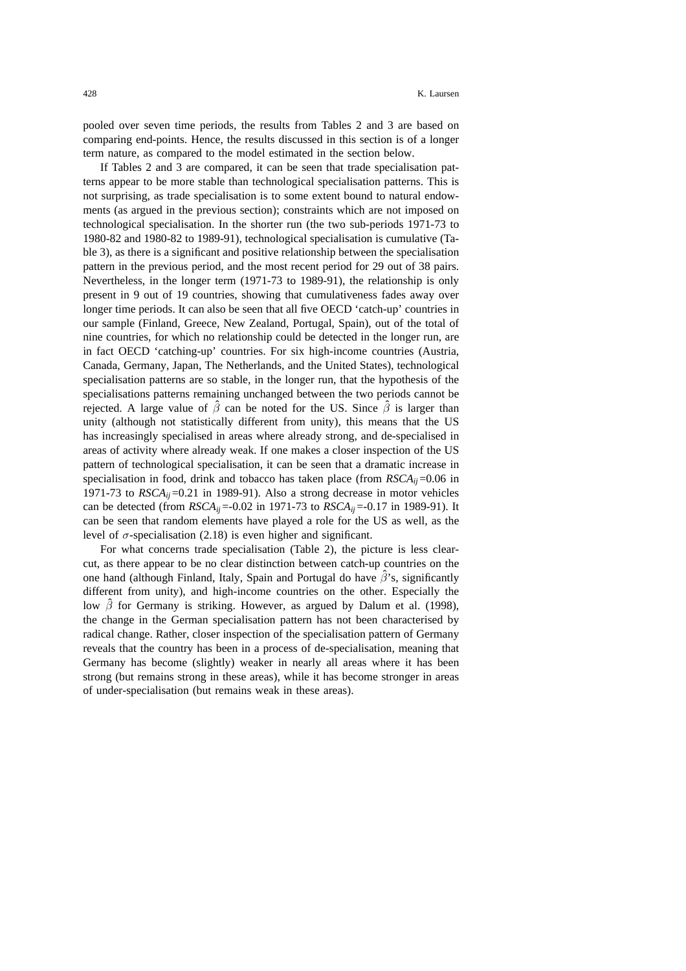pooled over seven time periods, the results from Tables 2 and 3 are based on comparing end-points. Hence, the results discussed in this section is of a longer term nature, as compared to the model estimated in the section below.

If Tables 2 and 3 are compared, it can be seen that trade specialisation patterns appear to be more stable than technological specialisation patterns. This is not surprising, as trade specialisation is to some extent bound to natural endowments (as argued in the previous section); constraints which are not imposed on technological specialisation. In the shorter run (the two sub-periods 1971-73 to 1980-82 and 1980-82 to 1989-91), technological specialisation is cumulative (Table 3), as there is a significant and positive relationship between the specialisation pattern in the previous period, and the most recent period for 29 out of 38 pairs. Nevertheless, in the longer term (1971-73 to 1989-91), the relationship is only present in 9 out of 19 countries, showing that cumulativeness fades away over longer time periods. It can also be seen that all five OECD 'catch-up' countries in our sample (Finland, Greece, New Zealand, Portugal, Spain), out of the total of nine countries, for which no relationship could be detected in the longer run, are in fact OECD 'catching-up' countries. For six high-income countries (Austria, Canada, Germany, Japan, The Netherlands, and the United States), technological specialisation patterns are so stable, in the longer run, that the hypothesis of the specialisations patterns remaining unchanged between the two periods cannot be rejected. A large value of  $\hat{\beta}$  can be noted for the US. Since  $\hat{\beta}$  is larger than unity (although not statistically different from unity), this means that the US has increasingly specialised in areas where already strong, and de-specialised in areas of activity where already weak. If one makes a closer inspection of the US pattern of technological specialisation, it can be seen that a dramatic increase in specialisation in food, drink and tobacco has taken place (from  $RSCA_{ii}=0.06$  in 1971-73 to  $RSCA_{ii}$ =0.21 in 1989-91). Also a strong decrease in motor vehicles can be detected (from *RSCA<sub>ij</sub>*=-0.02 in 1971-73 to *RSCA<sub>ij</sub>*=-0.17 in 1989-91). It can be seen that random elements have played a role for the US as well, as the level of  $\sigma$ -specialisation (2.18) is even higher and significant.

For what concerns trade specialisation (Table 2), the picture is less clearcut, as there appear to be no clear distinction between catch-up countries on the one hand (although Finland, Italy, Spain and Portugal do have  $\hat{\beta}$ 's, significantly different from unity), and high-income countries on the other. Especially the low  $\hat{\beta}$  for Germany is striking. However, as argued by Dalum et al. (1998), the change in the German specialisation pattern has not been characterised by radical change. Rather, closer inspection of the specialisation pattern of Germany reveals that the country has been in a process of de-specialisation, meaning that Germany has become (slightly) weaker in nearly all areas where it has been strong (but remains strong in these areas), while it has become stronger in areas of under-specialisation (but remains weak in these areas).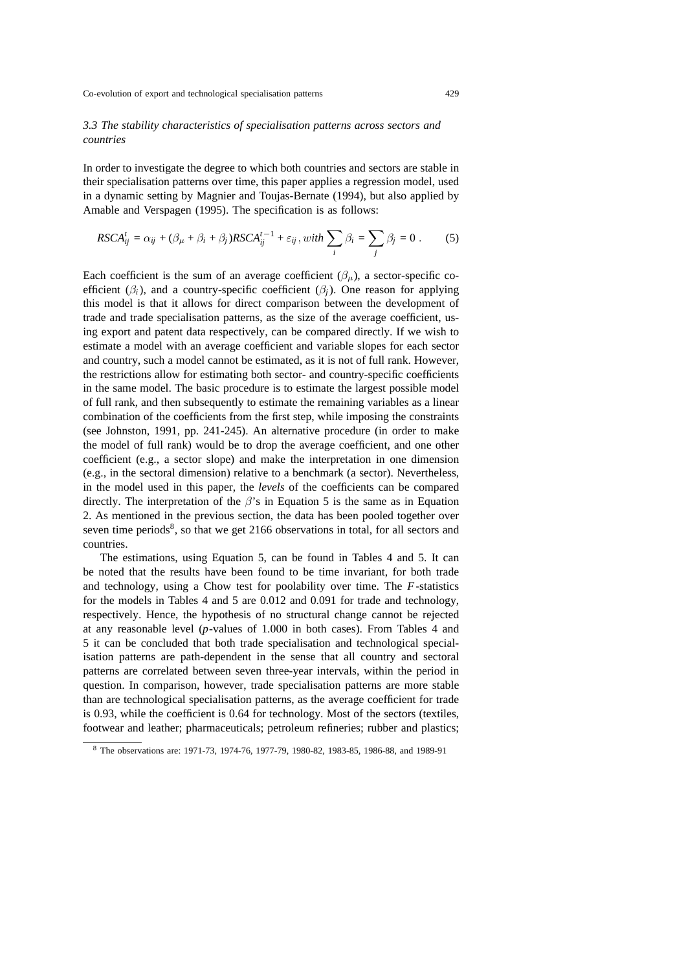## *3.3 The stability characteristics of specialisation patterns across sectors and countries*

In order to investigate the degree to which both countries and sectors are stable in their specialisation patterns over time, this paper applies a regression model, used in a dynamic setting by Magnier and Toujas-Bernate (1994), but also applied by Amable and Verspagen (1995). The specification is as follows:

$$
RSCA_{ij}^{t} = \alpha_{ij} + (\beta_{\mu} + \beta_i + \beta_j)RSCA_{ij}^{t-1} + \varepsilon_{ij}, with \sum_{i} \beta_i = \sum_{j} \beta_j = 0.
$$
 (5)

Each coefficient is the sum of an average coefficient  $(\beta_{\mu})$ , a sector-specific coefficient  $(\beta_i)$ , and a country-specific coefficient  $(\beta_i)$ . One reason for applying this model is that it allows for direct comparison between the development of trade and trade specialisation patterns, as the size of the average coefficient, using export and patent data respectively, can be compared directly. If we wish to estimate a model with an average coefficient and variable slopes for each sector and country, such a model cannot be estimated, as it is not of full rank. However, the restrictions allow for estimating both sector- and country-specific coefficients in the same model. The basic procedure is to estimate the largest possible model of full rank, and then subsequently to estimate the remaining variables as a linear combination of the coefficients from the first step, while imposing the constraints (see Johnston, 1991, pp. 241-245). An alternative procedure (in order to make the model of full rank) would be to drop the average coefficient, and one other coefficient (e.g., a sector slope) and make the interpretation in one dimension (e.g., in the sectoral dimension) relative to a benchmark (a sector). Nevertheless, in the model used in this paper, the *levels* of the coefficients can be compared directly. The interpretation of the  $\beta$ 's in Equation 5 is the same as in Equation 2. As mentioned in the previous section, the data has been pooled together over seven time periods $8$ , so that we get 2166 observations in total, for all sectors and countries.

The estimations, using Equation 5, can be found in Tables 4 and 5. It can be noted that the results have been found to be time invariant, for both trade and technology, using a Chow test for poolability over time. The *F*-statistics for the models in Tables 4 and 5 are 0.012 and 0.091 for trade and technology, respectively. Hence, the hypothesis of no structural change cannot be rejected at any reasonable level (*p*-values of 1.000 in both cases). From Tables 4 and 5 it can be concluded that both trade specialisation and technological specialisation patterns are path-dependent in the sense that all country and sectoral patterns are correlated between seven three-year intervals, within the period in question. In comparison, however, trade specialisation patterns are more stable than are technological specialisation patterns, as the average coefficient for trade is 0.93, while the coefficient is 0.64 for technology. Most of the sectors (textiles, footwear and leather; pharmaceuticals; petroleum refineries; rubber and plastics;

<sup>8</sup> The observations are: 1971-73, 1974-76, 1977-79, 1980-82, 1983-85, 1986-88, and 1989-91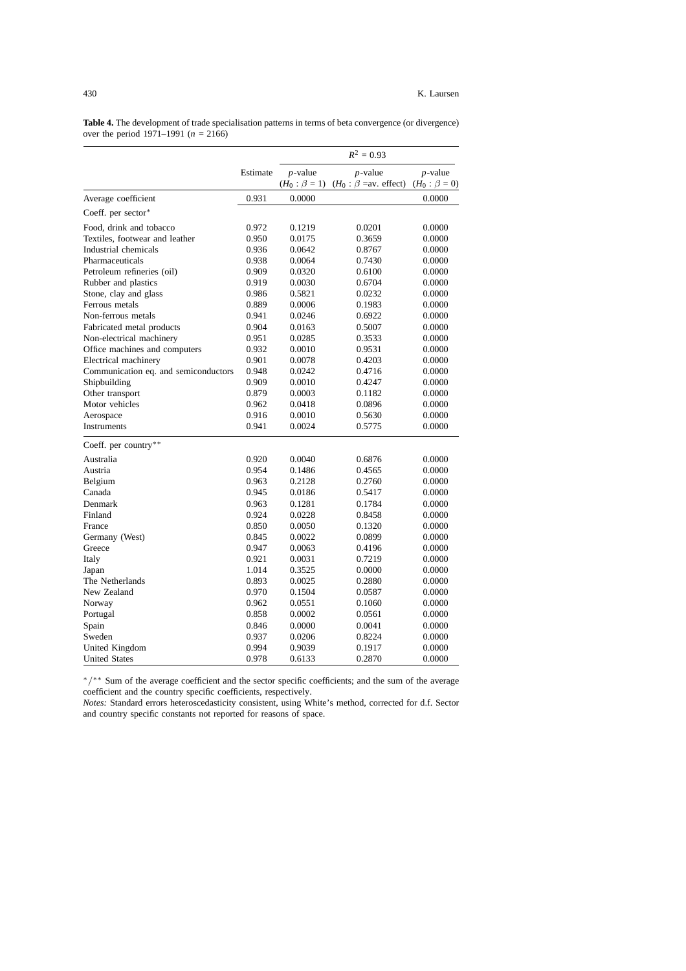|                                      |          | $R^2 = 0.93$                     |                                           |                                  |  |
|--------------------------------------|----------|----------------------------------|-------------------------------------------|----------------------------------|--|
|                                      | Estimate | $p$ -value<br>$(H_0: \beta = 1)$ | $p$ -value<br>$(H_0: \beta = av.$ effect) | $p$ -value<br>$(H_0: \beta = 0)$ |  |
| Average coefficient                  | 0.931    | 0.0000                           |                                           | 0.0000                           |  |
| Coeff. per sector*                   |          |                                  |                                           |                                  |  |
| Food, drink and tobacco              | 0.972    | 0.1219                           | 0.0201                                    | 0.0000                           |  |
| Textiles, footwear and leather       | 0.950    | 0.0175                           | 0.3659                                    | 0.0000                           |  |
| Industrial chemicals                 | 0.936    | 0.0642                           | 0.8767                                    | 0.0000                           |  |
| Pharmaceuticals                      | 0.938    | 0.0064                           | 0.7430                                    | 0.0000                           |  |
| Petroleum refineries (oil)           | 0.909    | 0.0320                           | 0.6100                                    | 0.0000                           |  |
| Rubber and plastics                  | 0.919    | 0.0030                           | 0.6704                                    | 0.0000                           |  |
| Stone, clay and glass                | 0.986    | 0.5821                           | 0.0232                                    | 0.0000                           |  |
| Ferrous metals                       | 0.889    | 0.0006                           | 0.1983                                    | 0.0000                           |  |
| Non-ferrous metals                   | 0.941    | 0.0246                           | 0.6922                                    | 0.0000                           |  |
| Fabricated metal products            | 0.904    | 0.0163                           | 0.5007                                    | 0.0000                           |  |
| Non-electrical machinery             | 0.951    | 0.0285                           | 0.3533                                    | 0.0000                           |  |
| Office machines and computers        | 0.932    | 0.0010                           | 0.9531                                    | 0.0000                           |  |
| Electrical machinery                 | 0.901    | 0.0078                           | 0.4203                                    | 0.0000                           |  |
| Communication eq. and semiconductors | 0.948    | 0.0242                           | 0.4716                                    | 0.0000                           |  |
| Shipbuilding                         | 0.909    | 0.0010                           | 0.4247                                    | 0.0000                           |  |
| Other transport                      | 0.879    | 0.0003                           | 0.1182                                    | 0.0000                           |  |
| Motor vehicles                       | 0.962    | 0.0418                           | 0.0896                                    | 0.0000                           |  |
| Aerospace                            | 0.916    | 0.0010                           | 0.5630                                    | 0.0000                           |  |
| Instruments                          | 0.941    | 0.0024                           | 0.5775                                    | 0.0000                           |  |
| Coeff. per country**                 |          |                                  |                                           |                                  |  |
| Australia                            | 0.920    | 0.0040                           | 0.6876                                    | 0.0000                           |  |
| Austria                              | 0.954    | 0.1486                           | 0.4565                                    | 0.0000                           |  |
| Belgium                              | 0.963    | 0.2128                           | 0.2760                                    | 0.0000                           |  |
| Canada                               | 0.945    | 0.0186                           | 0.5417                                    | 0.0000                           |  |
| Denmark                              | 0.963    | 0.1281                           | 0.1784                                    | 0.0000                           |  |
| Finland                              | 0.924    | 0.0228                           | 0.8458                                    | 0.0000                           |  |
| France                               | 0.850    | 0.0050                           | 0.1320                                    | 0.0000                           |  |
| Germany (West)                       | 0.845    | 0.0022                           | 0.0899                                    | 0.0000                           |  |
| Greece                               | 0.947    | 0.0063                           | 0.4196                                    | 0.0000                           |  |
| Italy                                | 0.921    | 0.0031                           | 0.7219                                    | 0.0000                           |  |
| Japan                                | 1.014    | 0.3525                           | 0.0000                                    | 0.0000                           |  |
| The Netherlands                      | 0.893    | 0.0025                           | 0.2880                                    | 0.0000                           |  |
| New Zealand                          | 0.970    | 0.1504                           | 0.0587                                    | 0.0000                           |  |
| Norway                               | 0.962    | 0.0551                           | 0.1060                                    | 0.0000                           |  |
| Portugal                             | 0.858    | 0.0002                           | 0.0561                                    | 0.0000                           |  |
| Spain                                | 0.846    | 0.0000                           | 0.0041                                    | 0.0000                           |  |
| Sweden                               | 0.937    | 0.0206                           | 0.8224                                    | 0.0000                           |  |
| United Kingdom                       | 0.994    | 0.9039                           | 0.1917                                    | 0.0000                           |  |
| <b>United States</b>                 | 0.978    | 0.6133                           | 0.2870                                    | 0.0000                           |  |

Table 4. The development of trade specialisation patterns in terms of beta convergence (or divergence) over the period 1971–1991 ( $n = 2166$ )

∗/∗∗ Sum of the average coefficient and the sector specific coefficients; and the sum of the average coefficient and the country specific coefficients, respectively.

*Notes:* Standard errors heteroscedasticity consistent, using White's method, corrected for d.f. Sector and country specific constants not reported for reasons of space.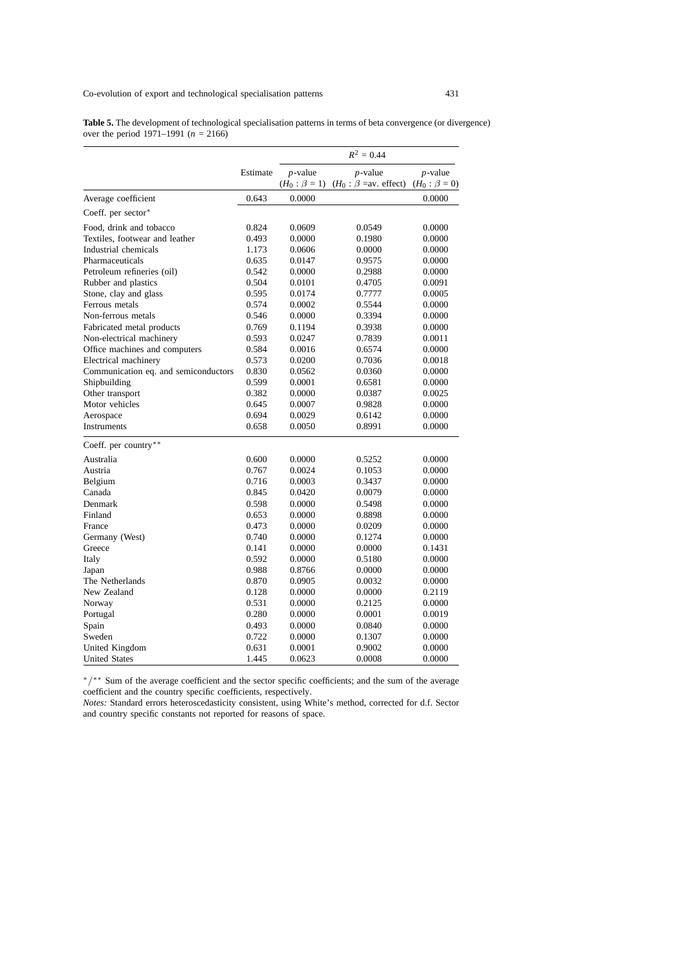Co-evolution of export and technological specialisation patterns 431

|                                      |          | $R^2 = 0.44$                     |                                           |                                  |  |
|--------------------------------------|----------|----------------------------------|-------------------------------------------|----------------------------------|--|
|                                      | Estimate | $p$ -value<br>$(H_0: \beta = 1)$ | $p$ -value<br>$(H_0: \beta = av.$ effect) | $p$ -value<br>$(H_0: \beta = 0)$ |  |
| Average coefficient                  | 0.643    | 0.0000                           |                                           | 0.0000                           |  |
| Coeff. per sector*                   |          |                                  |                                           |                                  |  |
| Food, drink and tobacco              | 0.824    | 0.0609                           | 0.0549                                    | 0.0000                           |  |
| Textiles, footwear and leather       | 0.493    | 0.0000                           | 0.1980                                    | 0.0000                           |  |
| Industrial chemicals                 | 1.173    | 0.0606                           | 0.0000                                    | 0.0000                           |  |
| Pharmaceuticals                      | 0.635    | 0.0147                           | 0.9575                                    | 0.0000                           |  |
| Petroleum refineries (oil)           | 0.542    | 0.0000                           | 0.2988                                    | 0.0000                           |  |
| Rubber and plastics                  | 0.504    | 0.0101                           | 0.4705                                    | 0.0091                           |  |
| Stone, clay and glass                | 0.595    | 0.0174                           | 0.7777                                    | 0.0005                           |  |
| Ferrous metals                       | 0.574    | 0.0002                           | 0.5544                                    | 0.0000                           |  |
| Non-ferrous metals                   | 0.546    | 0.0000                           | 0.3394                                    | 0.0000                           |  |
| Fabricated metal products            | 0.769    | 0.1194                           | 0.3938                                    | 0.0000                           |  |
| Non-electrical machinery             | 0.593    | 0.0247                           | 0.7839                                    | 0.0011                           |  |
| Office machines and computers        | 0.584    | 0.0016                           | 0.6574                                    | 0.0000                           |  |
| Electrical machinery                 | 0.573    | 0.0200                           | 0.7036                                    | 0.0018                           |  |
| Communication eq. and semiconductors | 0.830    | 0.0562                           | 0.0360                                    | 0.0000                           |  |
| Shipbuilding                         | 0.599    | 0.0001                           | 0.6581                                    | 0.0000                           |  |
| Other transport                      | 0.382    | 0.0000                           | 0.0387                                    | 0.0025                           |  |
| Motor vehicles                       | 0.645    | 0.0007                           | 0.9828                                    | 0.0000                           |  |
| Aerospace                            | 0.694    | 0.0029                           | 0.6142                                    | 0.0000                           |  |
| Instruments                          | 0.658    | 0.0050                           | 0.8991                                    | 0.0000                           |  |
| Coeff. per country**                 |          |                                  |                                           |                                  |  |
| Australia                            | 0.600    | 0.0000                           | 0.5252                                    | 0.0000                           |  |
| Austria                              | 0.767    | 0.0024                           | 0.1053                                    | 0.0000                           |  |
| Belgium                              | 0.716    | 0.0003                           | 0.3437                                    | 0.0000                           |  |
| Canada                               | 0.845    | 0.0420                           | 0.0079                                    | 0.0000                           |  |
| Denmark                              | 0.598    | 0.0000                           | 0.5498                                    | 0.0000                           |  |
| Finland                              | 0.653    | 0.0000                           | 0.8898                                    | 0.0000                           |  |
| France                               | 0.473    | 0.0000                           | 0.0209                                    | 0.0000                           |  |
| Germany (West)                       | 0.740    | 0.0000                           | 0.1274                                    | 0.0000                           |  |
| Greece                               | 0.141    | 0.0000                           | 0.0000                                    | 0.1431                           |  |
| Italy                                | 0.592    | 0.0000                           | 0.5180                                    | 0.0000                           |  |
| Japan                                | 0.988    | 0.8766                           | 0.0000                                    | 0.0000                           |  |
| The Netherlands                      | 0.870    | 0.0905                           | 0.0032                                    | 0.0000                           |  |
| New Zealand                          | 0.128    | 0.0000                           | 0.0000                                    | 0.2119                           |  |
| Norway                               | 0.531    | 0.0000                           | 0.2125                                    | 0.0000                           |  |
| Portugal                             | 0.280    | 0.0000                           | 0.0001                                    | 0.0019                           |  |
| Spain                                | 0.493    | 0.0000                           | 0.0840                                    | 0.0000                           |  |
| Sweden                               | 0.722    | 0.0000                           | 0.1307                                    | 0.0000                           |  |
| United Kingdom                       | 0.631    | 0.0001                           | 0.9002                                    | 0.0000                           |  |
| <b>United States</b>                 | 1.445    | 0.0623                           | 0.0008                                    | 0.0000                           |  |

**Table 5.** The development of technological specialisation patterns in terms of beta convergence (or divergence) over the period 1971–1991 (*n* = 2166)

∗/∗∗ Sum of the average coefficient and the sector specific coefficients; and the sum of the average coefficient and the country specific coefficients, respectively.

*Notes:* Standard errors heteroscedasticity consistent, using White's method, corrected for d.f. Sector and country specific constants not reported for reasons of space.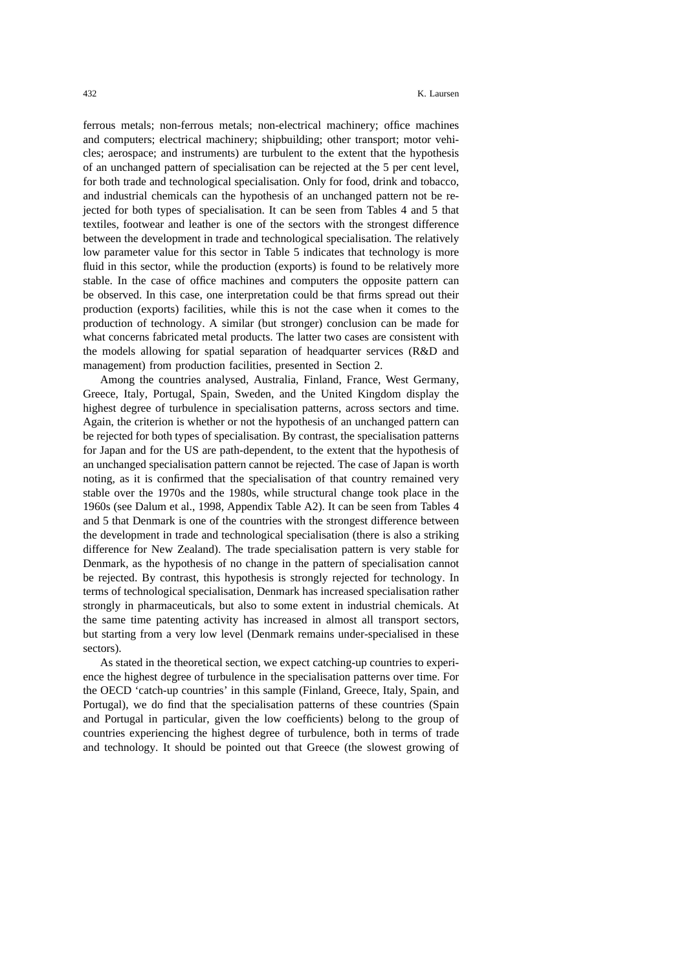ferrous metals; non-ferrous metals; non-electrical machinery; office machines and computers; electrical machinery; shipbuilding; other transport; motor vehicles; aerospace; and instruments) are turbulent to the extent that the hypothesis of an unchanged pattern of specialisation can be rejected at the 5 per cent level, for both trade and technological specialisation. Only for food, drink and tobacco, and industrial chemicals can the hypothesis of an unchanged pattern not be rejected for both types of specialisation. It can be seen from Tables 4 and 5 that textiles, footwear and leather is one of the sectors with the strongest difference between the development in trade and technological specialisation. The relatively low parameter value for this sector in Table 5 indicates that technology is more fluid in this sector, while the production (exports) is found to be relatively more stable. In the case of office machines and computers the opposite pattern can be observed. In this case, one interpretation could be that firms spread out their production (exports) facilities, while this is not the case when it comes to the production of technology. A similar (but stronger) conclusion can be made for what concerns fabricated metal products. The latter two cases are consistent with the models allowing for spatial separation of headquarter services (R&D and management) from production facilities, presented in Section 2.

Among the countries analysed, Australia, Finland, France, West Germany, Greece, Italy, Portugal, Spain, Sweden, and the United Kingdom display the highest degree of turbulence in specialisation patterns, across sectors and time. Again, the criterion is whether or not the hypothesis of an unchanged pattern can be rejected for both types of specialisation. By contrast, the specialisation patterns for Japan and for the US are path-dependent, to the extent that the hypothesis of an unchanged specialisation pattern cannot be rejected. The case of Japan is worth noting, as it is confirmed that the specialisation of that country remained very stable over the 1970s and the 1980s, while structural change took place in the 1960s (see Dalum et al., 1998, Appendix Table A2). It can be seen from Tables 4 and 5 that Denmark is one of the countries with the strongest difference between the development in trade and technological specialisation (there is also a striking difference for New Zealand). The trade specialisation pattern is very stable for Denmark, as the hypothesis of no change in the pattern of specialisation cannot be rejected. By contrast, this hypothesis is strongly rejected for technology. In terms of technological specialisation, Denmark has increased specialisation rather strongly in pharmaceuticals, but also to some extent in industrial chemicals. At the same time patenting activity has increased in almost all transport sectors, but starting from a very low level (Denmark remains under-specialised in these sectors).

As stated in the theoretical section, we expect catching-up countries to experience the highest degree of turbulence in the specialisation patterns over time. For the OECD 'catch-up countries' in this sample (Finland, Greece, Italy, Spain, and Portugal), we do find that the specialisation patterns of these countries (Spain and Portugal in particular, given the low coefficients) belong to the group of countries experiencing the highest degree of turbulence, both in terms of trade and technology. It should be pointed out that Greece (the slowest growing of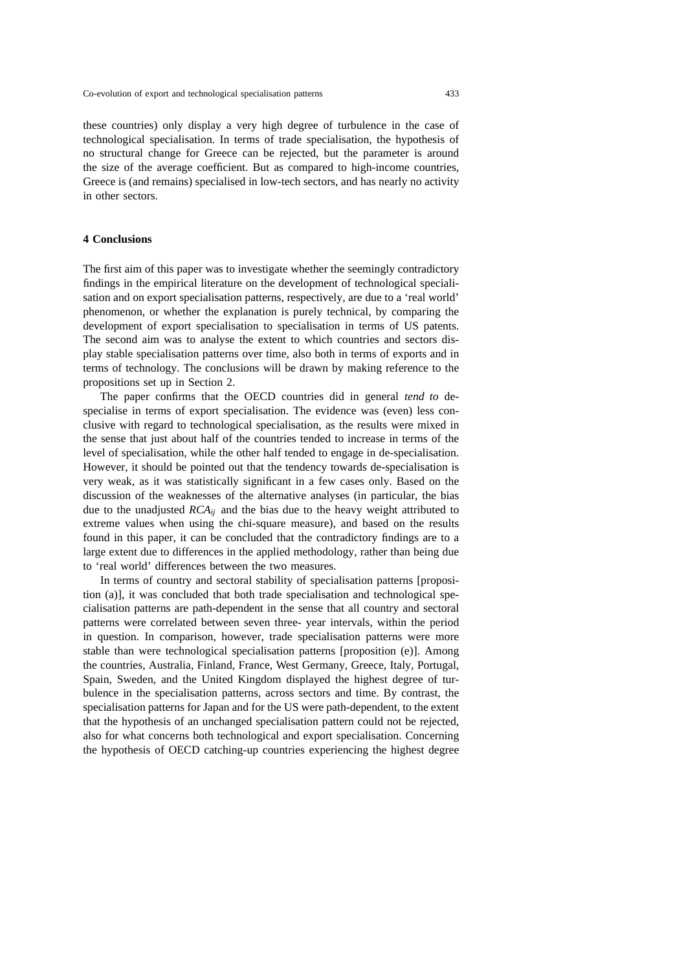these countries) only display a very high degree of turbulence in the case of technological specialisation. In terms of trade specialisation, the hypothesis of no structural change for Greece can be rejected, but the parameter is around the size of the average coefficient. But as compared to high-income countries, Greece is (and remains) specialised in low-tech sectors, and has nearly no activity in other sectors.

#### **4 Conclusions**

The first aim of this paper was to investigate whether the seemingly contradictory findings in the empirical literature on the development of technological specialisation and on export specialisation patterns, respectively, are due to a 'real world' phenomenon, or whether the explanation is purely technical, by comparing the development of export specialisation to specialisation in terms of US patents. The second aim was to analyse the extent to which countries and sectors display stable specialisation patterns over time, also both in terms of exports and in terms of technology. The conclusions will be drawn by making reference to the propositions set up in Section 2.

The paper confirms that the OECD countries did in general *tend to* despecialise in terms of export specialisation. The evidence was (even) less conclusive with regard to technological specialisation, as the results were mixed in the sense that just about half of the countries tended to increase in terms of the level of specialisation, while the other half tended to engage in de-specialisation. However, it should be pointed out that the tendency towards de-specialisation is very weak, as it was statistically significant in a few cases only. Based on the discussion of the weaknesses of the alternative analyses (in particular, the bias due to the unadjusted  $RCA_{ij}$  and the bias due to the heavy weight attributed to extreme values when using the chi-square measure), and based on the results found in this paper, it can be concluded that the contradictory findings are to a large extent due to differences in the applied methodology, rather than being due to 'real world' differences between the two measures.

In terms of country and sectoral stability of specialisation patterns [proposition (a)], it was concluded that both trade specialisation and technological specialisation patterns are path-dependent in the sense that all country and sectoral patterns were correlated between seven three- year intervals, within the period in question. In comparison, however, trade specialisation patterns were more stable than were technological specialisation patterns [proposition (e)]. Among the countries, Australia, Finland, France, West Germany, Greece, Italy, Portugal, Spain, Sweden, and the United Kingdom displayed the highest degree of turbulence in the specialisation patterns, across sectors and time. By contrast, the specialisation patterns for Japan and for the US were path-dependent, to the extent that the hypothesis of an unchanged specialisation pattern could not be rejected, also for what concerns both technological and export specialisation. Concerning the hypothesis of OECD catching-up countries experiencing the highest degree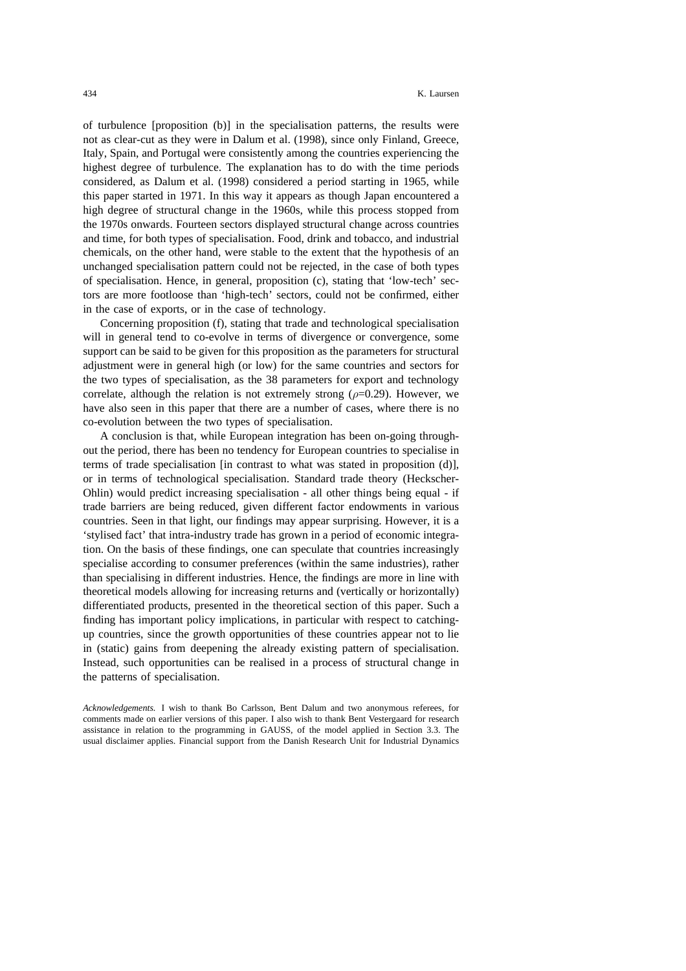of turbulence [proposition (b)] in the specialisation patterns, the results were not as clear-cut as they were in Dalum et al. (1998), since only Finland, Greece, Italy, Spain, and Portugal were consistently among the countries experiencing the highest degree of turbulence. The explanation has to do with the time periods considered, as Dalum et al. (1998) considered a period starting in 1965, while this paper started in 1971. In this way it appears as though Japan encountered a high degree of structural change in the 1960s, while this process stopped from the 1970s onwards. Fourteen sectors displayed structural change across countries and time, for both types of specialisation. Food, drink and tobacco, and industrial chemicals, on the other hand, were stable to the extent that the hypothesis of an unchanged specialisation pattern could not be rejected, in the case of both types of specialisation. Hence, in general, proposition (c), stating that 'low-tech' sectors are more footloose than 'high-tech' sectors, could not be confirmed, either in the case of exports, or in the case of technology.

Concerning proposition (f), stating that trade and technological specialisation will in general tend to co-evolve in terms of divergence or convergence, some support can be said to be given for this proposition as the parameters for structural adjustment were in general high (or low) for the same countries and sectors for the two types of specialisation, as the 38 parameters for export and technology correlate, although the relation is not extremely strong ( $\rho$ =0.29). However, we have also seen in this paper that there are a number of cases, where there is no co-evolution between the two types of specialisation.

A conclusion is that, while European integration has been on-going throughout the period, there has been no tendency for European countries to specialise in terms of trade specialisation [in contrast to what was stated in proposition (d)], or in terms of technological specialisation. Standard trade theory (Heckscher-Ohlin) would predict increasing specialisation - all other things being equal - if trade barriers are being reduced, given different factor endowments in various countries. Seen in that light, our findings may appear surprising. However, it is a 'stylised fact' that intra-industry trade has grown in a period of economic integration. On the basis of these findings, one can speculate that countries increasingly specialise according to consumer preferences (within the same industries), rather than specialising in different industries. Hence, the findings are more in line with theoretical models allowing for increasing returns and (vertically or horizontally) differentiated products, presented in the theoretical section of this paper. Such a finding has important policy implications, in particular with respect to catchingup countries, since the growth opportunities of these countries appear not to lie in (static) gains from deepening the already existing pattern of specialisation. Instead, such opportunities can be realised in a process of structural change in the patterns of specialisation.

*Acknowledgements.* I wish to thank Bo Carlsson, Bent Dalum and two anonymous referees, for comments made on earlier versions of this paper. I also wish to thank Bent Vestergaard for research assistance in relation to the programming in GAUSS, of the model applied in Section 3.3. The usual disclaimer applies. Financial support from the Danish Research Unit for Industrial Dynamics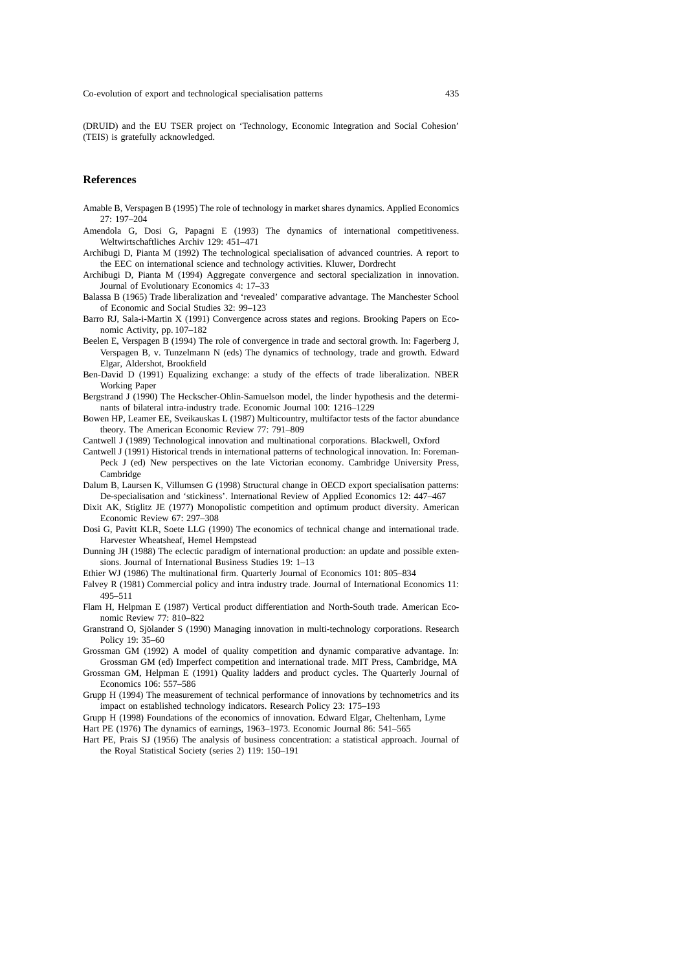(DRUID) and the EU TSER project on 'Technology, Economic Integration and Social Cohesion' (TEIS) is gratefully acknowledged.

#### **References**

- Amable B, Verspagen B (1995) The role of technology in market shares dynamics. Applied Economics 27: 197–204
- Amendola G, Dosi G, Papagni E (1993) The dynamics of international competitiveness. Weltwirtschaftliches Archiv 129: 451–471
- Archibugi D, Pianta M (1992) The technological specialisation of advanced countries. A report to the EEC on international science and technology activities. Kluwer, Dordrecht
- Archibugi D, Pianta M (1994) Aggregate convergence and sectoral specialization in innovation. Journal of Evolutionary Economics 4: 17–33
- Balassa B (1965) Trade liberalization and 'revealed' comparative advantage. The Manchester School of Economic and Social Studies 32: 99–123
- Barro RJ, Sala-i-Martin X (1991) Convergence across states and regions. Brooking Papers on Economic Activity, pp. 107–182
- Beelen E, Verspagen B (1994) The role of convergence in trade and sectoral growth. In: Fagerberg J, Verspagen B, v. Tunzelmann N (eds) The dynamics of technology, trade and growth. Edward Elgar, Aldershot, Brookfield
- Ben-David D (1991) Equalizing exchange: a study of the effects of trade liberalization. NBER Working Paper
- Bergstrand J (1990) The Heckscher-Ohlin-Samuelson model, the linder hypothesis and the determinants of bilateral intra-industry trade. Economic Journal 100: 1216–1229
- Bowen HP, Leamer EE, Sveikauskas L (1987) Multicountry, multifactor tests of the factor abundance theory. The American Economic Review 77: 791–809
- Cantwell J (1989) Technological innovation and multinational corporations. Blackwell, Oxford
- Cantwell J (1991) Historical trends in international patterns of technological innovation. In: Foreman-Peck J (ed) New perspectives on the late Victorian economy. Cambridge University Press, Cambridge
- Dalum B, Laursen K, Villumsen G (1998) Structural change in OECD export specialisation patterns: De-specialisation and 'stickiness'. International Review of Applied Economics 12: 447–467
- Dixit AK, Stiglitz JE (1977) Monopolistic competition and optimum product diversity. American Economic Review 67: 297–308
- Dosi G, Pavitt KLR, Soete LLG (1990) The economics of technical change and international trade. Harvester Wheatsheaf, Hemel Hempstead
- Dunning JH (1988) The eclectic paradigm of international production: an update and possible extensions. Journal of International Business Studies 19: 1–13
- Ethier WJ (1986) The multinational firm. Quarterly Journal of Economics 101: 805–834
- Falvey R (1981) Commercial policy and intra industry trade. Journal of International Economics 11: 495–511
- Flam H, Helpman E (1987) Vertical product differentiation and North-South trade. American Economic Review 77: 810–822
- Granstrand O, Sjölander S (1990) Managing innovation in multi-technology corporations. Research Policy 19: 35–60
- Grossman GM (1992) A model of quality competition and dynamic comparative advantage. In: Grossman GM (ed) Imperfect competition and international trade. MIT Press, Cambridge, MA
- Grossman GM, Helpman E (1991) Quality ladders and product cycles. The Quarterly Journal of Economics 106: 557–586
- Grupp H (1994) The measurement of technical performance of innovations by technometrics and its impact on established technology indicators. Research Policy 23: 175–193
- Grupp H (1998) Foundations of the economics of innovation. Edward Elgar, Cheltenham, Lyme
- Hart PE (1976) The dynamics of earnings, 1963–1973. Economic Journal 86: 541–565
- Hart PE, Prais SJ (1956) The analysis of business concentration: a statistical approach. Journal of the Royal Statistical Society (series 2) 119: 150–191